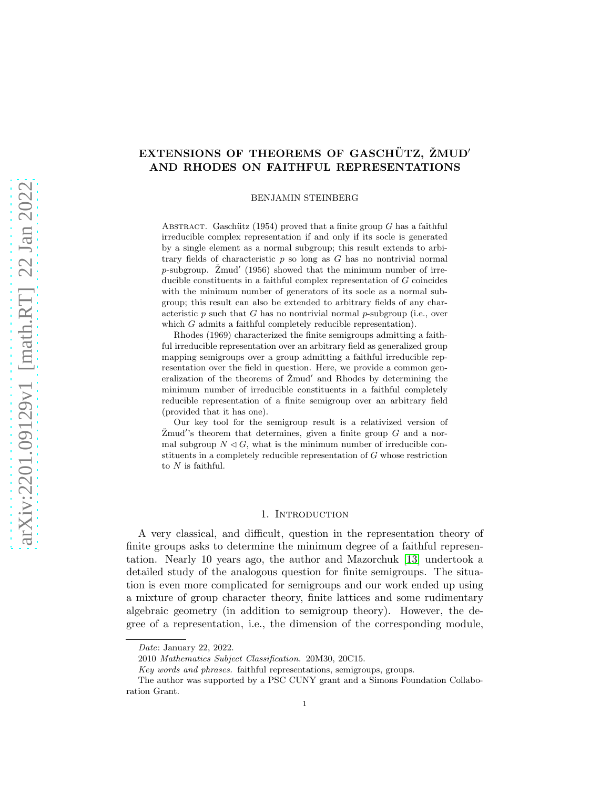# EXTENSIONS OF THEOREMS OF GASCHÜTZ, ŽMUD' AND RHODES ON FAITHFUL REPRESENTATIONS

BENJAMIN STEINBERG

ABSTRACT. Gaschütz (1954) proved that a finite group G has a faithful irreducible complex representation if and only if its socle is generated by a single element as a normal subgroup; this result extends to arbitrary fields of characteristic  $p$  so long as  $G$  has no nontrivial normal  $p$ -subgroup. Žmud' (1956) showed that the minimum number of irreducible constituents in a faithful complex representation of G coincides with the minimum number of generators of its socle as a normal subgroup; this result can also be extended to arbitrary fields of any characteristic  $p$  such that  $G$  has no nontrivial normal  $p$ -subgroup (i.e., over which G admits a faithful completely reducible representation).

Rhodes (1969) characterized the finite semigroups admitting a faithful irreducible representation over an arbitrary field as generalized group mapping semigroups over a group admitting a faithful irreducible representation over the field in question. Here, we provide a common generalization of the theorems of  $\check{Z}$ mud' and Rhodes by determining the minimum number of irreducible constituents in a faithful completely reducible representation of a finite semigroup over an arbitrary field (provided that it has one).

Our key tool for the semigroup result is a relativized version of  $\check{Z}$ mud's theorem that determines, given a finite group  $G$  and a normal subgroup  $N \triangleleft G$ , what is the minimum number of irreducible constituents in a completely reducible representation of G whose restriction to  $N$  is faithful.

### 1. INTRODUCTION

A very classical, and difficult, question in the representation theory of finite groups asks to determine the minimum degree of a faithful representation. Nearly 10 years ago, the author and Mazorchuk [\[13\]](#page-29-0) undertook a detailed study of the analogous question for finite semigroups. The situation is even more complicated for semigroups and our work ended up using a mixture of group character theory, finite lattices and some rudimentary algebraic geometry (in addition to semigroup theory). However, the degree of a representation, i.e., the dimension of the corresponding module,

Date: January 22, 2022.

<sup>2010</sup> Mathematics Subject Classification. 20M30, 20C15.

Key words and phrases. faithful representations, semigroups, groups.

The author was supported by a PSC CUNY grant and a Simons Foundation Collaboration Grant.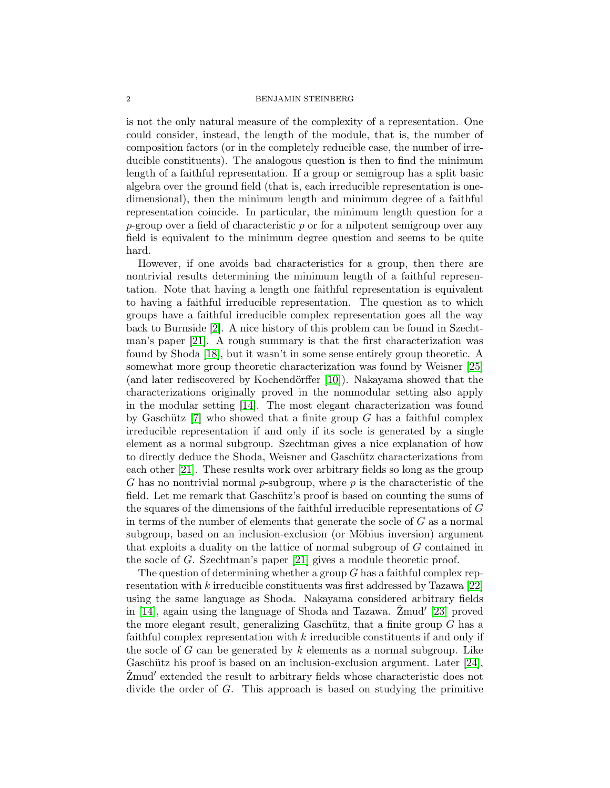is not the only natural measure of the complexity of a representation. One could consider, instead, the length of the module, that is, the number of composition factors (or in the completely reducible case, the number of irreducible constituents). The analogous question is then to find the minimum length of a faithful representation. If a group or semigroup has a split basic algebra over the ground field (that is, each irreducible representation is onedimensional), then the minimum length and minimum degree of a faithful representation coincide. In particular, the minimum length question for a  $p$ -group over a field of characteristic p or for a nilpotent semigroup over any field is equivalent to the minimum degree question and seems to be quite hard.

However, if one avoids bad characteristics for a group, then there are nontrivial results determining the minimum length of a faithful representation. Note that having a length one faithful representation is equivalent to having a faithful irreducible representation. The question as to which groups have a faithful irreducible complex representation goes all the way back to Burnside [\[2\]](#page-28-0). A nice history of this problem can be found in Szechtman's paper [\[21\]](#page-29-1). A rough summary is that the first characterization was found by Shoda [\[18\]](#page-29-2), but it wasn't in some sense entirely group theoretic. A somewhat more group theoretic characterization was found by Weisner [\[25\]](#page-29-3) (and later rediscovered by Kochendörffer  $[10]$ ). Nakayama showed that the characterizations originally proved in the nonmodular setting also apply in the modular setting [\[14\]](#page-29-5). The most elegant characterization was found by Gaschütz  $[7]$  who showed that a finite group G has a faithful complex irreducible representation if and only if its socle is generated by a single element as a normal subgroup. Szechtman gives a nice explanation of how to directly deduce the Shoda, Weisner and Gaschütz characterizations from each other [\[21\]](#page-29-1). These results work over arbitrary fields so long as the group G has no nontrivial normal p-subgroup, where  $p$  is the characteristic of the field. Let me remark that Gaschütz's proof is based on counting the sums of the squares of the dimensions of the faithful irreducible representations of G in terms of the number of elements that generate the socle of  $G$  as a normal subgroup, based on an inclusion-exclusion (or Möbius inversion) argument that exploits a duality on the lattice of normal subgroup of G contained in the socle of G. Szechtman's paper [\[21\]](#page-29-1) gives a module theoretic proof.

The question of determining whether a group  $G$  has a faithful complex representation with k irreducible constituents was first addressed by Tazawa [\[22\]](#page-29-7) using the same language as Shoda. Nakayama considered arbitrary fields in [\[14\]](#page-29-5), again using the language of Shoda and Tazawa. Žmud' [\[23\]](#page-29-8) proved the more elegant result, generalizing Gaschütz, that a finite group  $G$  has a faithful complex representation with k irreducible constituents if and only if the socle of G can be generated by  $k$  elements as a normal subgroup. Like Gaschütz his proof is based on an inclusion-exclusion argument. Later  $[24]$ , Žmud' extended the result to arbitrary fields whose characteristic does not divide the order of G. This approach is based on studying the primitive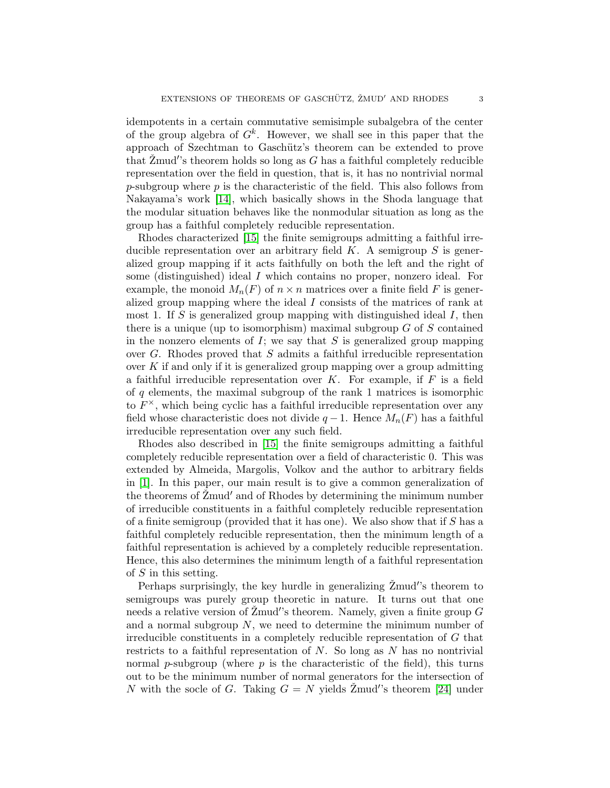idempotents in a certain commutative semisimple subalgebra of the center of the group algebra of  $G^k$ . However, we shall see in this paper that the approach of Szechtman to Gaschütz's theorem can be extended to prove that  $\check{Z}$ mud's theorem holds so long as G has a faithful completely reducible representation over the field in question, that is, it has no nontrivial normal  $p$ -subgroup where  $p$  is the characteristic of the field. This also follows from Nakayama's work [\[14\]](#page-29-5), which basically shows in the Shoda language that the modular situation behaves like the nonmodular situation as long as the group has a faithful completely reducible representation.

Rhodes characterized [\[15\]](#page-29-10) the finite semigroups admitting a faithful irreducible representation over an arbitrary field  $K$ . A semigroup  $S$  is generalized group mapping if it acts faithfully on both the left and the right of some (distinguished) ideal I which contains no proper, nonzero ideal. For example, the monoid  $M_n(F)$  of  $n \times n$  matrices over a finite field F is generalized group mapping where the ideal I consists of the matrices of rank at most 1. If S is generalized group mapping with distinguished ideal  $I$ , then there is a unique (up to isomorphism) maximal subgroup  $G$  of  $S$  contained in the nonzero elements of  $I$ ; we say that  $S$  is generalized group mapping over  $G$ . Rhodes proved that  $S$  admits a faithful irreducible representation over K if and only if it is generalized group mapping over a group admitting a faithful irreducible representation over  $K$ . For example, if  $F$  is a field of  $q$  elements, the maximal subgroup of the rank 1 matrices is isomorphic to  $F^{\times}$ , which being cyclic has a faithful irreducible representation over any field whose characteristic does not divide  $q-1$ . Hence  $M_n(F)$  has a faithful irreducible representation over any such field.

Rhodes also described in [\[15\]](#page-29-10) the finite semigroups admitting a faithful completely reducible representation over a field of characteristic 0. This was extended by Almeida, Margolis, Volkov and the author to arbitrary fields in [\[1\]](#page-28-1). In this paper, our main result is to give a common generalization of the theorems of Zmud' and of Rhodes by determining the minimum number of irreducible constituents in a faithful completely reducible representation of a finite semigroup (provided that it has one). We also show that if  $S$  has a faithful completely reducible representation, then the minimum length of a faithful representation is achieved by a completely reducible representation. Hence, this also determines the minimum length of a faithful representation of  $S$  in this setting.

Perhaps surprisingly, the key hurdle in generalizing  $\check{Z}$ mud's theorem to semigroups was purely group theoretic in nature. It turns out that one needs a relative version of  $\check{Z}$ mud's theorem. Namely, given a finite group  $G$ and a normal subgroup  $N$ , we need to determine the minimum number of irreducible constituents in a completely reducible representation of G that restricts to a faithful representation of  $N$ . So long as  $N$  has no nontrivial normal p-subgroup (where  $p$  is the characteristic of the field), this turns out to be the minimum number of normal generators for the intersection of N with the socle of G. Taking  $G = N$  yields  $\check{Z}$ mud's theorem [\[24\]](#page-29-9) under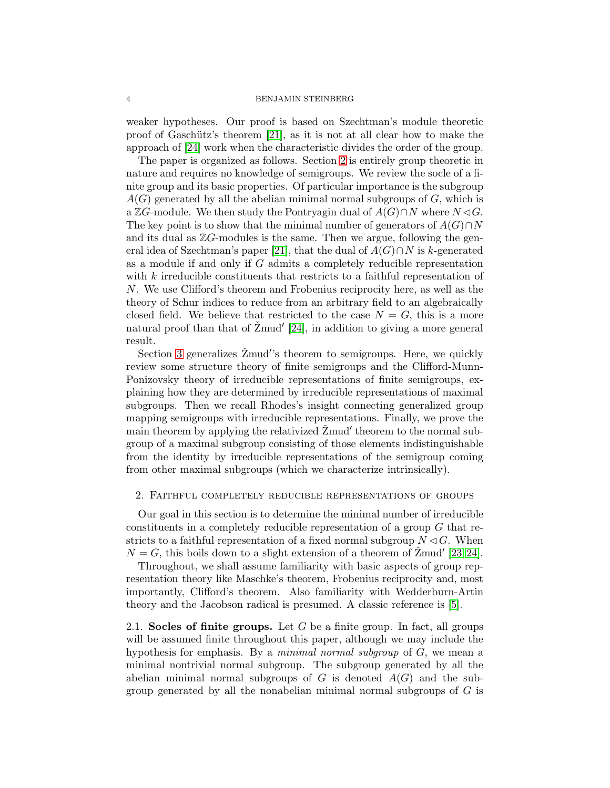weaker hypotheses. Our proof is based on Szechtman's module theoretic proof of Gaschütz's theorem  $[21]$ , as it is not at all clear how to make the approach of [\[24\]](#page-29-9) work when the characteristic divides the order of the group.

The paper is organized as follows. Section [2](#page-3-0) is entirely group theoretic in nature and requires no knowledge of semigroups. We review the socle of a finite group and its basic properties. Of particular importance is the subgroup  $A(G)$  generated by all the abelian minimal normal subgroups of G, which is a ZG-module. We then study the Pontryagin dual of  $A(G) \cap N$  where  $N \triangleleft G$ . The key point is to show that the minimal number of generators of  $A(G) \cap N$ and its dual as  $\mathbb{Z}G$ -modules is the same. Then we argue, following the gen-eral idea of Szechtman's paper [\[21\]](#page-29-1), that the dual of  $A(G) \cap N$  is k-generated as a module if and only if G admits a completely reducible representation with k irreducible constituents that restricts to a faithful representation of N. We use Clifford's theorem and Frobenius reciprocity here, as well as the theory of Schur indices to reduce from an arbitrary field to an algebraically closed field. We believe that restricted to the case  $N = G$ , this is a more natural proof than that of  $\check{Z}$ mud' [\[24\]](#page-29-9), in addition to giving a more general result.

Section [3](#page-18-0) generalizes  $\check{Z}$ mud''s theorem to semigroups. Here, we quickly review some structure theory of finite semigroups and the Clifford-Munn-Ponizovsky theory of irreducible representations of finite semigroups, explaining how they are determined by irreducible representations of maximal subgroups. Then we recall Rhodes's insight connecting generalized group mapping semigroups with irreducible representations. Finally, we prove the main theorem by applying the relativized  $\check{Z}$ mud' theorem to the normal subgroup of a maximal subgroup consisting of those elements indistinguishable from the identity by irreducible representations of the semigroup coming from other maximal subgroups (which we characterize intrinsically).

## <span id="page-3-0"></span>2. Faithful completely reducible representations of groups

Our goal in this section is to determine the minimal number of irreducible constituents in a completely reducible representation of a group  $G$  that restricts to a faithful representation of a fixed normal subgroup  $N \lhd G$ . When  $N = G$ , this boils down to a slight extension of a theorem of  $\check{Z}$ mud' [\[23,](#page-29-8)24].

Throughout, we shall assume familiarity with basic aspects of group representation theory like Maschke's theorem, Frobenius reciprocity and, most importantly, Clifford's theorem. Also familiarity with Wedderburn-Artin theory and the Jacobson radical is presumed. A classic reference is [\[5\]](#page-29-11).

2.1. Socles of finite groups. Let  $G$  be a finite group. In fact, all groups will be assumed finite throughout this paper, although we may include the hypothesis for emphasis. By a minimal normal subgroup of G, we mean a minimal nontrivial normal subgroup. The subgroup generated by all the abelian minimal normal subgroups of  $G$  is denoted  $A(G)$  and the subgroup generated by all the nonabelian minimal normal subgroups of  $G$  is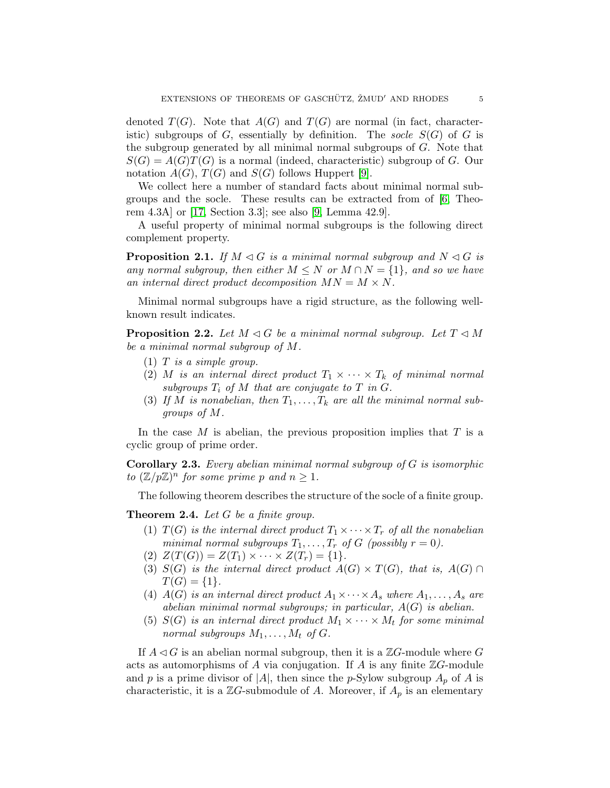denoted  $T(G)$ . Note that  $A(G)$  and  $T(G)$  are normal (in fact, characteristic) subgroups of G, essentially by definition. The socle  $S(G)$  of G is the subgroup generated by all minimal normal subgroups of  $G$ . Note that  $S(G) = A(G)T(G)$  is a normal (indeed, characteristic) subgroup of G. Our notation  $A(G)$ ,  $T(G)$  and  $S(G)$  follows Huppert [\[9\]](#page-29-12).

We collect here a number of standard facts about minimal normal subgroups and the socle. These results can be extracted from of  $[6,$  Theorem 4.3A] or [\[17,](#page-29-14) Section 3.3]; see also [\[9,](#page-29-12) Lemma 42.9].

A useful property of minimal normal subgroups is the following direct complement property.

<span id="page-4-2"></span>**Proposition 2.1.** If  $M \triangleleft G$  is a minimal normal subgroup and  $N \triangleleft G$  is any normal subgroup, then either  $M \leq N$  or  $M \cap N = \{1\}$ , and so we have an internal direct product decomposition  $MN = M \times N$ .

Minimal normal subgroups have a rigid structure, as the following wellknown result indicates.

<span id="page-4-3"></span>**Proposition 2.2.** Let  $M \triangleleft G$  be a minimal normal subgroup. Let  $T \triangleleft M$ be a minimal normal subgroup of M.

- $(1)$  T is a simple group.
- (2) M is an internal direct product  $T_1 \times \cdots \times T_k$  of minimal normal subgroups  $T_i$  of M that are conjugate to T in G.
- (3) If M is nonabelian, then  $T_1, \ldots, T_k$  are all the minimal normal subgroups of M.

In the case  $M$  is abelian, the previous proposition implies that  $T$  is a cyclic group of prime order.

<span id="page-4-0"></span>Corollary 2.3. Every abelian minimal normal subgroup of G is isomorphic to  $(\mathbb{Z}/p\mathbb{Z})^n$  for some prime p and  $n \geq 1$ .

The following theorem describes the structure of the socle of a finite group.

<span id="page-4-1"></span>Theorem 2.4. Let G be a finite group.

- (1)  $T(G)$  is the internal direct product  $T_1 \times \cdots \times T_r$  of all the nonabelian minimal normal subgroups  $T_1, \ldots, T_r$  of G (possibly  $r = 0$ ).
- (2)  $Z(T(G)) = Z(T_1) \times \cdots \times Z(T_r) = \{1\}.$
- (3)  $S(G)$  is the internal direct product  $A(G) \times T(G)$ , that is,  $A(G) \cap$  $T(G) = \{1\}.$
- (4)  $A(G)$  is an internal direct product  $A_1 \times \cdots \times A_s$  where  $A_1, \ldots, A_s$  are abelian minimal normal subgroups; in particular,  $A(G)$  is abelian.
- (5)  $S(G)$  is an internal direct product  $M_1 \times \cdots \times M_t$  for some minimal normal subgroups  $M_1, \ldots, M_t$  of G.

If  $A \triangleleft G$  is an abelian normal subgroup, then it is a  $\mathbb{Z}G$ -module where G acts as automorphisms of A via conjugation. If A is any finite  $\mathbb{Z}G$ -module and p is a prime divisor of |A|, then since the p-Sylow subgroup  $A_p$  of A is characteristic, it is a  $\mathbb{Z}G$ -submodule of A. Moreover, if  $A_p$  is an elementary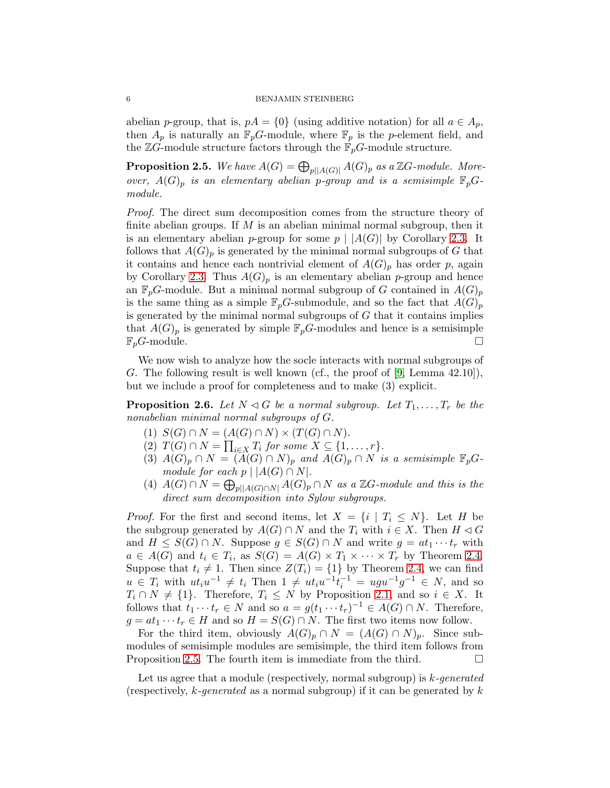abelian p-group, that is,  $pA = \{0\}$  (using additive notation) for all  $a \in A_p$ , then  $A_p$  is naturally an  $\mathbb{F}_p$ G-module, where  $\mathbb{F}_p$  is the p-element field, and the  $\mathbb{Z} G\text{-module structure factors through the } \mathbb{F}_p G\text{-module structure.}$ 

<span id="page-5-0"></span>**Proposition 2.5.** We have  $A(G) = \bigoplus_{p | |A(G)|} A(G)_p$  as a ZG-module. Moreover,  $A(G)_p$  is an elementary abelian p-group and is a semisimple  $\mathbb{F}_p$ Gmodule.

Proof. The direct sum decomposition comes from the structure theory of finite abelian groups. If  $M$  is an abelian minimal normal subgroup, then it is an elementary abelian p-group for some  $p \mid |A(G)|$  by Corollary [2.3.](#page-4-0) It follows that  $A(G)_p$  is generated by the minimal normal subgroups of G that it contains and hence each nontrivial element of  $A(G)_p$  has order p, again by Corollary [2.3.](#page-4-0) Thus  $A(G)_p$  is an elementary abelian p-group and hence an  $\mathbb{F}_p$ G-module. But a minimal normal subgroup of G contained in  $A(G)_p$ is the same thing as a simple  $\mathbb{F}_pG$ -submodule, and so the fact that  $A(G)_p$ is generated by the minimal normal subgroups of  $G$  that it contains implies that  $A(G)_p$  is generated by simple  $\mathbb{F}_pG$ -modules and hence is a semisimple  $\mathbb{F}_pG\text{-module.}$ 

We now wish to analyze how the socle interacts with normal subgroups of G. The following result is well known (cf., the proof of  $[9, \text{Lemma } 42.10]$ ), but we include a proof for completeness and to make (3) explicit.

<span id="page-5-1"></span>**Proposition 2.6.** Let  $N \triangleleft G$  be a normal subgroup. Let  $T_1, \ldots, T_r$  be the nonabelian minimal normal subgroups of G.

- (1)  $S(G) \cap N = (A(G) \cap N) \times (T(G) \cap N)$ .
- $(2)$   $T(G) \cap N = \prod_{i \in X} T_i$  for some  $X \subseteq \{1, \ldots, r\}.$
- (3)  $A(G)_p \cap N = (A(G) \cap N)_p$  and  $A(G)_p \cap N$  is a semisimple  $\mathbb{F}_pG$ module for each  $p \mid |A(G) \cap N|$ .
- (4)  $A(G) \cap N = \bigoplus_{p \mid |A(G) \cap N|} A(G)_p \cap N$  as a ZG-module and this is the direct sum decomposition into Sylow subgroups.

*Proof.* For the first and second items, let  $X = \{i \mid T_i \leq N\}$ . Let H be the subgroup generated by  $A(G) \cap N$  and the  $T_i$  with  $i \in X$ . Then  $H \lhd G$ and  $H \leq S(G) \cap N$ . Suppose  $g \in S(G) \cap N$  and write  $g = at_1 \cdots t_r$  with  $a \in A(G)$  and  $t_i \in T_i$ , as  $S(G) = A(G) \times T_1 \times \cdots \times T_r$  by Theorem [2.4.](#page-4-1) Suppose that  $t_i \neq 1$ . Then since  $Z(T_i) = \{1\}$  by Theorem [2.4,](#page-4-1) we can find  $u \in T_i$  with  $ut_i u^{-1} \neq t_i$  Then  $1 \neq ut_i u^{-1} t_i^{-1} = ugu^{-1} g^{-1} \in N$ , and so  $T_i \cap N \neq \{1\}$ . Therefore,  $T_i \leq N$  by Proposition [2.1,](#page-4-2) and so  $i \in X$ . It follows that  $t_1 \cdots t_r \in N$  and so  $a = g(t_1 \cdots t_r)^{-1} \in A(G) \cap N$ . Therefore,  $g = at_1 \cdots t_r \in H$  and so  $H = S(G) \cap N$ . The first two items now follow.

For the third item, obviously  $A(G)_p \cap N = (A(G) \cap N)_p$ . Since submodules of semisimple modules are semisimple, the third item follows from Proposition [2.5.](#page-5-0) The fourth item is immediate from the third.  $\Box$ 

Let us agree that a module (respectively, normal subgroup) is  $k$ -generated (respectively, k-generated as a normal subgroup) if it can be generated by  $k$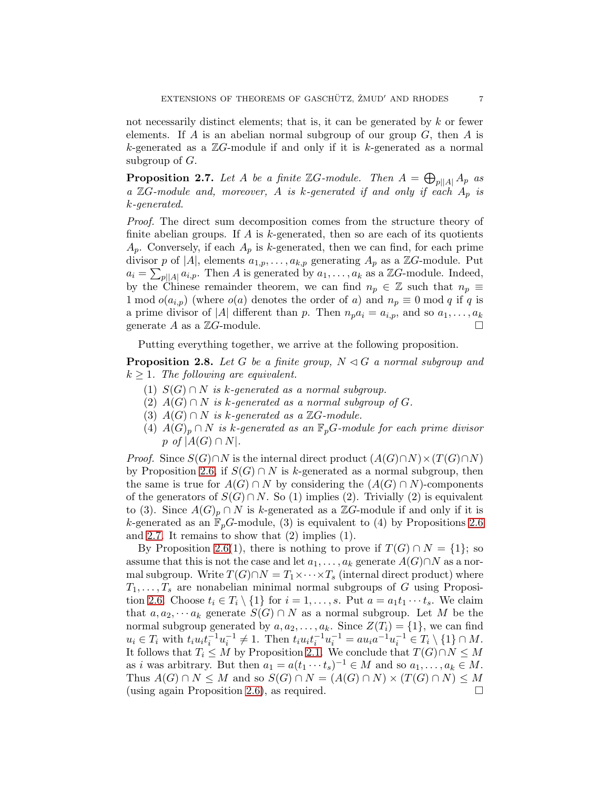not necessarily distinct elements; that is, it can be generated by  $k$  or fewer elements. If A is an abelian normal subgroup of our group  $G$ , then A is k-generated as a  $\mathbb{Z}G$ -module if and only if it is k-generated as a normal subgroup of  $G$ .

<span id="page-6-0"></span>**Proposition 2.7.** Let A be a finite  $\mathbb{Z}G$ -module. Then  $A = \bigoplus_{p||A|} A_p$  as a  $\mathbb{Z}G$ -module and, moreover, A is k-generated if and only if each  $A_p$  is k-generated.

Proof. The direct sum decomposition comes from the structure theory of finite abelian groups. If  $A$  is  $k$ -generated, then so are each of its quotients  $A_p$ . Conversely, if each  $A_p$  is k-generated, then we can find, for each prime divisor p of |A|, elements  $a_{1,p}, \ldots, a_{k,p}$  generating  $A_p$  as a  $\mathbb{Z}G$ -module. Put  $a_i = \sum_{p||A|} a_{i,p}$ . Then A is generated by  $a_1, \ldots, a_k$  as a ZG-module. Indeed, by the Chinese remainder theorem, we can find  $n_p \in \mathbb{Z}$  such that  $n_p \equiv$ 1 mod  $o(a_{i,p})$  (where  $o(a)$  denotes the order of a) and  $n_p \equiv 0 \mod q$  if q is a prime divisor of |A| different than p. Then  $n_p a_i = a_{i,p}$ , and so  $a_1, \ldots, a_k$ generate A as a  $\mathbb{Z}G$ -module.

Putting everything together, we arrive at the following proposition.

<span id="page-6-1"></span>**Proposition 2.8.** Let G be a finite group,  $N \triangleleft G$  a normal subgroup and  $k \geq 1$ . The following are equivalent.

- (1)  $S(G) \cap N$  is k-generated as a normal subgroup.
- (2)  $A(G) \cap N$  is k-generated as a normal subgroup of G.
- (3)  $A(G) \cap N$  is k-generated as a ZG-module.
- (4)  $A(G)_p \cap N$  is k-generated as an  $\mathbb{F}_pG$ -module for each prime divisor p of  $|A(G) \cap N|$ .

*Proof.* Since  $S(G) \cap N$  is the internal direct product  $(A(G) \cap N) \times (T(G) \cap N)$ by Proposition [2.6,](#page-5-1) if  $S(G) \cap N$  is k-generated as a normal subgroup, then the same is true for  $A(G) \cap N$  by considering the  $(A(G) \cap N)$ -components of the generators of  $S(G) \cap N$ . So (1) implies (2). Trivially (2) is equivalent to (3). Since  $A(G)_p \cap N$  is k-generated as a ZG-module if and only if it is k-generated as an  $\mathbb{F}_p$ G-module, (3) is equivalent to (4) by Propositions [2.6](#page-5-1) and [2.7.](#page-6-0) It remains to show that  $(2)$  implies  $(1)$ .

By Proposition [2.6\(](#page-5-1)1), there is nothing to prove if  $T(G) \cap N = \{1\}$ ; so assume that this is not the case and let  $a_1, \ldots, a_k$  generate  $A(G) \cap N$  as a normal subgroup. Write  $T(G) \cap N = T_1 \times \cdots \times T_s$  (internal direct product) where  $T_1, \ldots, T_s$  are nonabelian minimal normal subgroups of G using Proposi-tion [2.6.](#page-5-1) Choose  $t_i \in T_i \setminus \{1\}$  for  $i = 1, \ldots, s$ . Put  $a = a_1 t_1 \cdots t_s$ . We claim that  $a, a_2, \dots a_k$  generate  $S(G) \cap N$  as a normal subgroup. Let M be the normal subgroup generated by  $a, a_2, \ldots, a_k$ . Since  $Z(T_i) = \{1\}$ , we can find  $u_i \in T_i$  with  $t_i u_i t_i^{-1} u_i^{-1} \neq 1$ . Then  $t_i u_i t_i^{-1} u_i^{-1} = a u_i a^{-1} u_i^{-1} \in T_i \setminus \{1\} \cap M$ . It follows that  $T_i \leq M$  by Proposition [2.1.](#page-4-2) We conclude that  $T(G) \cap N \leq M$ as *i* was arbitrary. But then  $a_1 = a(t_1 \cdots t_s)^{-1} \in M$  and so  $a_1, \ldots, a_k \in M$ . Thus  $A(G) \cap N \leq M$  and so  $S(G) \cap N = (A(G) \cap N) \times (T(G) \cap N) \leq M$ (using again Proposition [2.6\)](#page-5-1), as required.  $\square$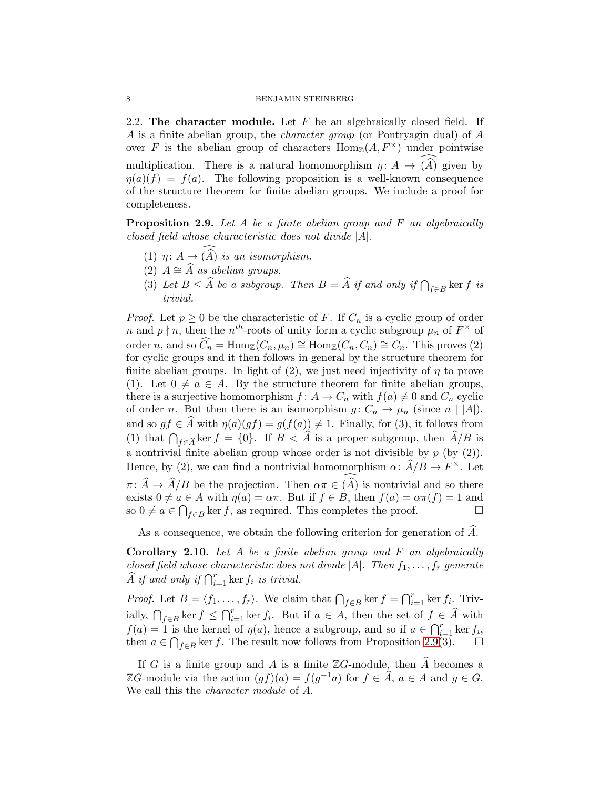2.2. The character module. Let  $F$  be an algebraically closed field. If A is a finite abelian group, the character group (or Pontryagin dual) of A over F is the abelian group of characters  $\text{Hom}_{\mathbb{Z}}(A, F^{\times})$  under pointwise multiplication. There is a natural homomorphism  $\eta: A \to (\widehat{A})$  given by  $\eta(a)(f) = f(a)$ . The following proposition is a well-known consequence of the structure theorem for finite abelian groups. We include a proof for completeness.

<span id="page-7-0"></span>**Proposition 2.9.** Let  $A$  be a finite abelian group and  $F$  an algebraically closed field whose characteristic does not divide |A|.

- (1)  $\eta: A \to (\widehat{A})$  is an isomorphism.
- (2)  $A \cong \widehat{A}$  as abelian groups.
- (3) Let  $B \leq \widehat{A}$  be a subgroup. Then  $B = \widehat{A}$  if and only if  $\bigcap_{f \in B}$  ker f is trivial.

*Proof.* Let  $p \geq 0$  be the characteristic of F. If  $C_n$  is a cyclic group of order n and  $p \nmid n$ , then the n<sup>th</sup>-roots of unity form a cyclic subgroup  $\mu_n$  of  $F^{\times}$  of order n, and so  $\widehat{C}_n = \text{Hom}_{\mathbb{Z}}(C_n, \mu_n) \cong \text{Hom}_{\mathbb{Z}}(C_n, C_n) \cong C_n$ . This proves (2) for cyclic groups and it then follows in general by the structure theorem for finite abelian groups. In light of (2), we just need injectivity of  $\eta$  to prove (1). Let  $0 \neq a \in A$ . By the structure theorem for finite abelian groups, there is a surjective homomorphism  $f: A \to C_n$  with  $f(a) \neq 0$  and  $C_n$  cyclic of order n. But then there is an isomorphism  $g: C_n \to \mu_n$  (since  $n | |A|$ ), and so  $gf \in \widehat{A}$  with  $\eta(a)(gf) = g(f(a)) \neq 1$ . Finally, for (3), it follows from (1) that  $\bigcap_{f\in \widehat{A}} \ker f = \{0\}$ . If  $B < \widehat{A}$  is a proper subgroup, then  $\widehat{A}/B$  is a nontrivial finite abelian group whose order is not divisible by  $p$  (by  $(2)$ ). Hence, by (2), we can find a nontrivial homomorphism  $\alpha: \widehat{A}/B \to F^{\times}$ . Let  $\pi: \widehat{A} \to \widehat{A}/B$  be the projection. Then  $\alpha \pi \in (\widehat{A})$  is nontrivial and so there exists  $0 \neq a \in A$  with  $\eta(a) = \alpha \pi$ . But if  $f \in B$ , then  $f(a) = \alpha \pi(f) = 1$  and so  $0 \neq a \in \bigcap_{f \in B} \ker f$ , as required. This completes the proof.

As a consequence, we obtain the following criterion for generation of  $\hat{A}$ .

<span id="page-7-1"></span>**Corollary 2.10.** Let  $A$  be a finite abelian group and  $F$  an algebraically closed field whose characteristic does not divide  $|A|$ . Then  $f_1, \ldots, f_r$  generate  $\widehat{A}$  if and only if  $\bigcap_{i=1}^r \ker f_i$  is trivial.

*Proof.* Let  $B = \langle f_1, \ldots, f_r \rangle$ . We claim that  $\bigcap_{f \in B} \ker f = \bigcap_{i=1}^r \ker f_i$ . Trivially,  $\bigcap_{f\in B}$  ker  $f \leq \bigcap_{i=1}^r$  ker  $f_i$ . But if  $a \in A$ , then the set of  $f \in \widehat{A}$  with  $f(a) = 1$  is the kernel of  $\eta(a)$ , hence a subgroup, and so if  $a \in \bigcap_{i=1}^r \ker f_i$ , then  $a \in \bigcap_{f \in B} \ker f$ . The result now follows from Proposition [2.9\(](#page-7-0)3).

If G is a finite group and A is a finite  $\mathbb{Z}G$ -module, then A becomes a ZG-module via the action  $(gf)(a) = f(g^{-1}a)$  for  $f \in \hat{A}$ ,  $a \in A$  and  $g \in G$ . We call this the character module of A.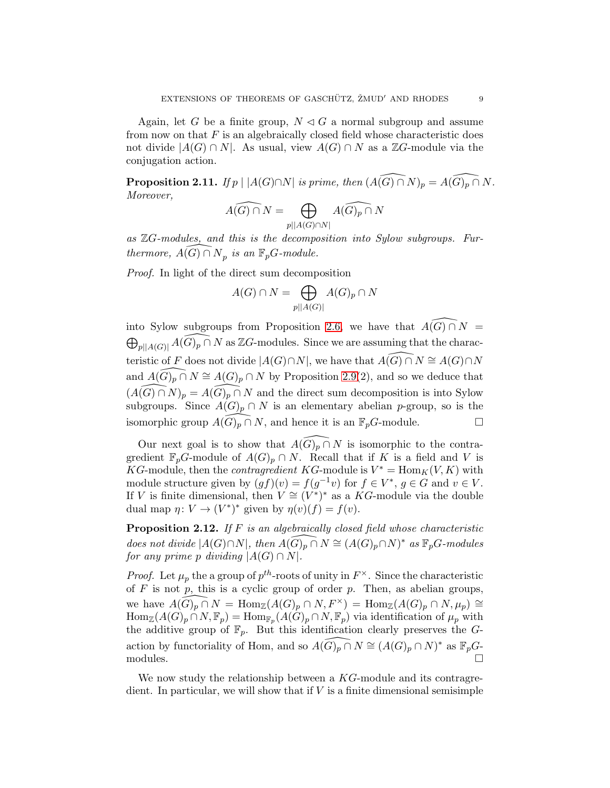Again, let G be a finite group,  $N \triangleleft G$  a normal subgroup and assume from now on that  $F$  is an algebraically closed field whose characteristic does not divide  $|A(G) \cap N|$ . As usual, view  $A(G) \cap N$  as a  $\mathbb{Z}G$ -module via the conjugation action.

<span id="page-8-1"></span>**Proposition 2.11.** If  $p \mid |A(G) \cap N|$  is prime, then  $(A(\widehat{G}) \cap N)_p = A(\widehat{G})_p \cap N$ . Moreover,

$$
\widehat{A(G)\cap N}=\bigoplus_{p\mid |A(G)\cap N|}\widehat{A(G)_p\cap N}
$$

as  $\mathbb{Z}G$ -modules, and this is the decomposition into Sylow subgroups. Furthermore,  $\widehat{A(G)} \cap N_p$  is an  $\mathbb{F}_pG$ -module.

Proof. In light of the direct sum decomposition

$$
A(G) \cap N = \bigoplus_{p||A(G)|} A(G)_p \cap N
$$

into Sylow subgroups from Proposition [2.6,](#page-5-1) we have that  $\widehat{A(G) \cap N}$  =  $\bigoplus_{p\mid |A(G)|} \widehat{A(G)_p \cap N}$  as ZG-modules. Since we are assuming that the characteristic of F does not divide  $|A(G) \cap N|$ , we have that  $\widehat{A(G)} \cap N \cong A(G) \cap N$ and  $\widehat{A(G)_p \cap N} \cong A(G)_p \cap N$  by Proposition [2.9\(](#page-7-0)2), and so we deduce that  $(A(\widehat{G}) \cap N)_p = A(\widehat{G})_p \cap N$  and the direct sum decomposition is into Sylow subgroups. Since  $A(G)_p \cap N$  is an elementary abelian p-group, so is the isomorphic group  $A(G)_p \cap N$ , and hence it is an  $\mathbb{F}_pG$ -module. □

Our next goal is to show that  $\widehat{A(G)_p \cap N}$  is isomorphic to the contragredient  $\mathbb{F}_pG$ -module of  $A(G)_p \cap N$ . Recall that if K is a field and V is KG-module, then the *contragredient* KG-module is  $V^* = \text{Hom}_K(V, K)$  with module structure given by  $(gf)(v) = f(g^{-1}v)$  for  $f \in V^*$ ,  $g \in G$  and  $v \in V$ . If V is finite dimensional, then  $V \cong (V^*)^*$  as a KG-module via the double dual map  $\eta: V \to (V^*)^*$  given by  $\eta(v)(f) = f(v)$ .

<span id="page-8-0"></span>**Proposition 2.12.** If  $F$  is an algebraically closed field whose characteristic does not divide  $|A(G) \cap N|$ , then  $\widehat{A(G)_p \cap N} \cong (A(G)_p \cap N)^*$  as  $\mathbb{F}_pG$ -modules for any prime p dividing  $|A(G) \cap N|$ .

*Proof.* Let  $\mu_p$  the a group of  $p^{th}$ -roots of unity in  $F^{\times}$ . Since the characteristic of  $F$  is not  $p$ , this is a cyclic group of order  $p$ . Then, as abelian groups, we have  $A(\widehat{G})_p \cap N = \text{Hom}_{\mathbb{Z}}(A(G)_p \cap N, F^\times) = \text{Hom}_{\mathbb{Z}}(A(G)_p \cap N, \mu_p) \cong$  $\text{Hom}_{\mathbb{Z}}(A(G)_p \cap N, \mathbb{F}_p) = \text{Hom}_{\mathbb{F}_p}(A(G)_p \cap N, \mathbb{F}_p)$  via identification of  $\mu_p$  with the additive group of  $\mathbb{F}_p$ . But this identification clearly preserves the Gaction by functoriality of Hom, and so  $\widehat{A(G)_p \cap N} \cong (A(G)_p \cap N)^*$  as  $\mathbb{F}_pG$ modules.  $\Box$ 

We now study the relationship between a  $KG$ -module and its contragredient. In particular, we will show that if  $V$  is a finite dimensional semisimple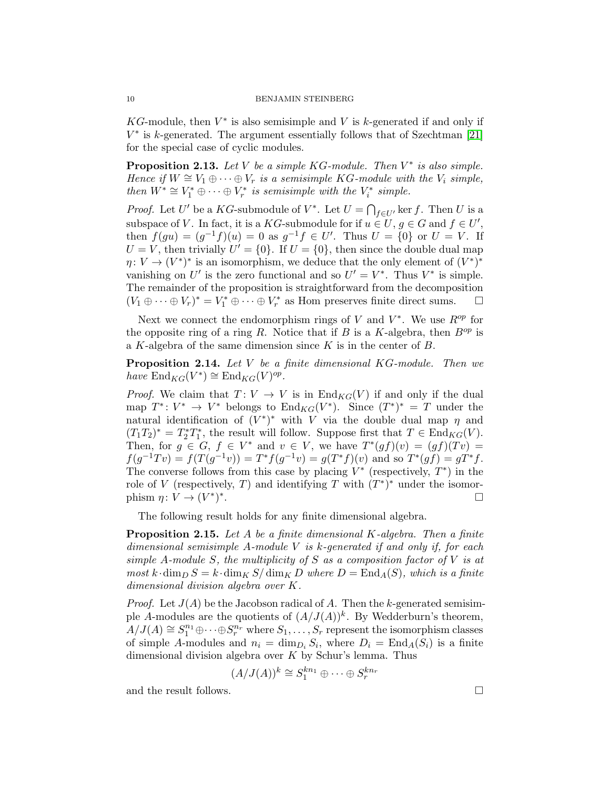KG-module, then  $V^*$  is also semisimple and V is k-generated if and only if  $V^*$  is k-generated. The argument essentially follows that of Szechtman [\[21\]](#page-29-1) for the special case of cyclic modules.

<span id="page-9-0"></span>**Proposition 2.13.** Let V be a simple KG-module. Then  $V^*$  is also simple. Hence if  $W \cong V_1 \oplus \cdots \oplus V_r$  is a semisimple KG-module with the  $V_i$  simple, then  $W^* \cong V_1^* \oplus \cdots \oplus V_r^*$  is semisimple with the  $V_i^*$  simple.

*Proof.* Let U' be a KG-submodule of  $V^*$ . Let  $U = \bigcap_{f \in U'} \ker f$ . Then U is a subspace of V. In fact, it is a KG-submodule for if  $u \in U, g \in G$  and  $f \in U'$ , then  $f(gu) = (g^{-1}f)(u) = 0$  as  $g^{-1}f \in U'$ . Thus  $U = \{0\}$  or  $U = V$ . If  $U = V$ , then trivially  $U' = \{0\}$ . If  $U = \{0\}$ , then since the double dual map  $\eta: V \to (V^*)^*$  is an isomorphism, we deduce that the only element of  $(V^*)^*$ vanishing on U' is the zero functional and so  $U' = V^*$ . Thus  $V^*$  is simple. The remainder of the proposition is straightforward from the decomposition  $(V_1 \oplus \cdots \oplus V_r)^* = V_1^* \oplus \cdots \oplus V_r^*$  as Hom preserves finite direct sums.  $\Box$ 

Next we connect the endomorphism rings of V and  $V^*$ . We use  $R^{op}$  for the opposite ring of a ring R. Notice that if B is a K-algebra, then  $B^{op}$  is a K-algebra of the same dimension since  $K$  is in the center of  $B$ .

<span id="page-9-2"></span>Proposition 2.14. Let V be a finite dimensional KG-module. Then we have  $\text{End}_{KG}(V^*) \cong \text{End}_{KG}(V)^{op}.$ 

*Proof.* We claim that  $T: V \to V$  is in  $\text{End}_{KG}(V)$  if and only if the dual map  $T^*: V^* \to V^*$  belongs to  $\text{End}_{KG}(V^*)$ . Since  $(T^*)^* = T$  under the natural identification of  $(V^*)^*$  with V via the double dual map  $\eta$  and  $(T_1T_2)^* = T_2^*T_1^*$ , the result will follow. Suppose first that  $T \in \text{End}_{KG}(V)$ . Then, for  $g \in G$ ,  $f \in V^*$  and  $v \in V$ , we have  $T^*(gf)(v) = (gf)(Tv)$  $f(g^{-1}Tv) = f(T(g^{-1}v)) = T^*f(g^{-1}v) = g(T^*f)(v)$  and so  $T^*(gf) = gT^*f$ . The converse follows from this case by placing  $V^*$  (respectively,  $T^*$ ) in the role of V (respectively, T) and identifying T with  $(T^*)^*$  under the isomorphism  $\eta \colon V \to (V^*)^*$ .

The following result holds for any finite dimensional algebra.

<span id="page-9-1"></span>**Proposition 2.15.** Let A be a finite dimensional K-algebra. Then a finite dimensional semisimple A-module V is  $k$ -generated if and only if, for each simple A-module S, the multiplicity of S as a composition factor of V is at most k·dim<sub>D</sub>  $S = k \cdot \dim_K S / \dim_K D$  where  $D = \text{End}_A(S)$ , which is a finite dimensional division algebra over K.

*Proof.* Let  $J(A)$  be the Jacobson radical of A. Then the k-generated semisimple A-modules are the quotients of  $(A/J(A))^k$ . By Wedderburn's theorem,  $A/J(A) \cong S_1^{n_1} \oplus \cdots \oplus S_r^{n_r}$  where  $S_1, \ldots, S_r$  represent the isomorphism classes of simple A-modules and  $n_i = \dim_{D_i} S_i$ , where  $D_i = \text{End}_A(S_i)$  is a finite dimensional division algebra over  $K$  by Schur's lemma. Thus

$$
(A/J(A))^k \cong S_1^{kn_1} \oplus \cdots \oplus S_r^{kn_r}
$$

and the result follows.  $\Box$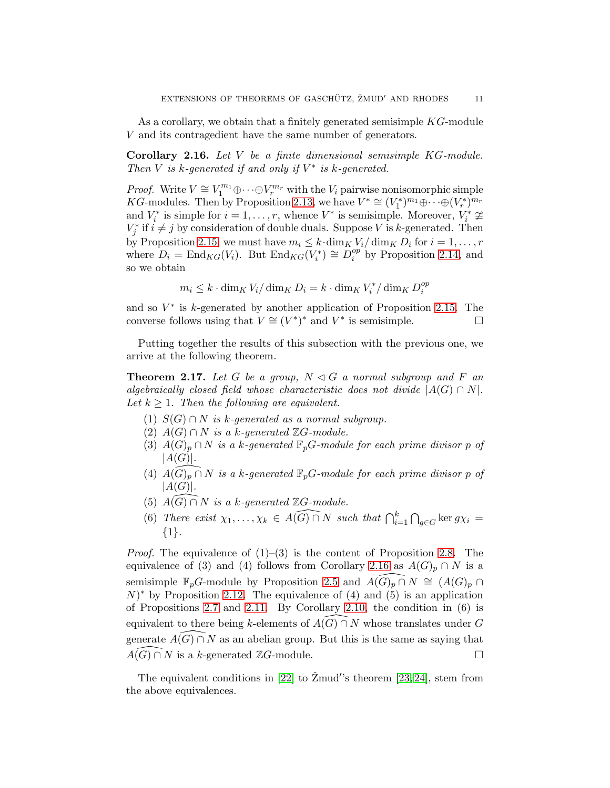As a corollary, we obtain that a finitely generated semisimple  $KG$ -module V and its contragedient have the same number of generators.

<span id="page-10-0"></span>Corollary 2.16. Let V be a finite dimensional semisimple KG-module. Then  $V$  is  $k$ -generated if and only if  $V^*$  is  $k$ -generated.

*Proof.* Write  $V \cong V_1^{m_1} \oplus \cdots \oplus V_r^{m_r}$  with the  $V_i$  pairwise nonisomorphic simple KG-modules. Then by Proposition [2.13,](#page-9-0) we have  $V^* \cong (V_1^*)^{m_1} \oplus \cdots \oplus (V_r^*)^{m_r}$ and  $V_i^*$  is simple for  $i = 1, ..., r$ , whence  $V^*$  is semisimple. Moreover,  $V_i^* \not\cong$  $V_j^*$  if  $i \neq j$  by consideration of double duals. Suppose V is k-generated. Then by Proposition [2.15,](#page-9-1) we must have  $m_i \leq k \cdot \dim_K V_i / \dim_K D_i$  for  $i = 1, \ldots, r$ where  $D_i = \text{End}_{KG}(V_i)$ . But  $\text{End}_{KG}(V_i^*) \cong D_i^{op}$  $i^{\text{op}}_i$  by Proposition [2.14,](#page-9-2) and so we obtain

$$
m_i \leq k \cdot \dim_K V_i / \dim_K D_i = k \cdot \dim_K V_i^* / \dim_K D_i^{op}
$$

and so  $V^*$  is k-generated by another application of Proposition [2.15.](#page-9-1) The converse follows using that  $V \cong (V^*)^*$  and  $V^*$  is semisimple.

Putting together the results of this subsection with the previous one, we arrive at the following theorem.

<span id="page-10-1"></span>**Theorem 2.17.** Let G be a group,  $N \triangleleft G$  a normal subgroup and F an algebraically closed field whose characteristic does not divide  $|A(G) \cap N|$ . Let  $k \geq 1$ . Then the following are equivalent.

- (1)  $S(G) \cap N$  is k-generated as a normal subgroup.
- (2)  $A(G) \cap N$  is a k-generated  $\mathbb{Z}G$ -module.
- (3)  $A(G)_p \cap N$  is a k-generated  $\mathbb{F}_p$ G-module for each prime divisor p of  $|A(G)|$ .
- (4)  $A(G)_p \cap N$  is a k-generated  $\mathbb{F}_p$ G-module for each prime divisor p of  $|A(G)|$ .
- (5)  $\overline{A(G)} \cap N$  is a k-generated  $\mathbb{Z}G$ -module.
- (6) There exist  $\chi_1, \ldots, \chi_k \in \widehat{A(G) \cap N}$  such that  $\bigcap_{i=1}^k \bigcap_{g \in G} \ker g\chi_i =$ {1}.

*Proof.* The equivalence of  $(1)$ – $(3)$  is the content of Proposition [2.8.](#page-6-1) The equivalence of (3) and (4) follows from Corollary [2.16](#page-10-0) as  $A(G)_p \cap N$  is a semisimple  $\mathbb{F}_p$ G-module by Proposition [2.5](#page-5-0) and  $A(G)_p \cap N \cong (A(G)_p \cap N)$  $(N)^*$  by Proposition [2.12.](#page-8-0) The equivalence of (4) and (5) is an application of Propositions [2.7](#page-6-0) and [2.11.](#page-8-1) By Corollary [2.10,](#page-7-1) the condition in (6) is equivalent to there being k-elements of  $A(G) \cap N$  whose translates under G generate  $\widehat{A(G) \cap N}$  as an abelian group. But this is the same as saying that  $\widehat{A(G) \cap N}$  is a k-generated  $\mathbb{Z}G$ -module.  $A(G) \cap N$  is a k-generated  $\mathbb{Z}G$ -module.

The equivalent conditions in [\[22\]](#page-29-7) to  $\check{Z}$ mud's theorem [\[23,](#page-29-8) [24\]](#page-29-9), stem from the above equivalences.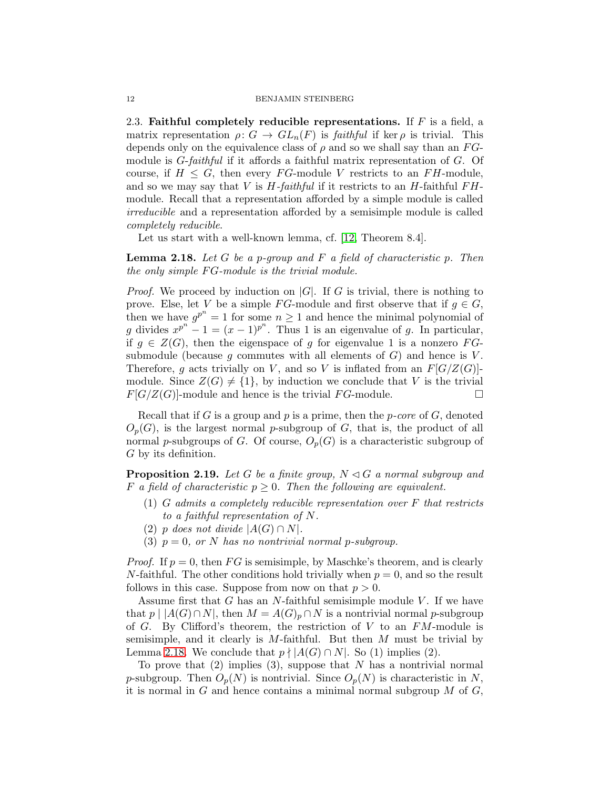2.3. Faithful completely reducible representations. If  $F$  is a field, a matrix representation  $\rho: G \to GL_n(F)$  is faithful if ker  $\rho$  is trivial. This depends only on the equivalence class of  $\rho$  and so we shall say than an  $FG$ module is  $G$ -faithful if it affords a faithful matrix representation of  $G$ . Of course, if  $H \leq G$ , then every FG-module V restricts to an FH-module, and so we may say that V is  $H$ -faithful if it restricts to an H-faithful  $FH$ module. Recall that a representation afforded by a simple module is called irreducible and a representation afforded by a semisimple module is called completely reducible.

Let us start with a well-known lemma, cf. [\[12,](#page-29-15) Theorem 8.4].

<span id="page-11-0"></span>**Lemma 2.18.** Let  $G$  be a p-group and  $F$  a field of characteristic p. Then the only simple  $FG$ -module is the trivial module.

*Proof.* We proceed by induction on  $|G|$ . If G is trivial, there is nothing to prove. Else, let V be a simple FG-module and first observe that if  $q \in G$ , then we have  $g^{p^n} = 1$  for some  $n \geq 1$  and hence the minimal polynomial of g divides  $x^{p^n} - 1 = (x - 1)^{p^n}$ . Thus 1 is an eigenvalue of g. In particular, if  $g \in Z(G)$ , then the eigenspace of g for eigenvalue 1 is a nonzero FGsubmodule (because  $g$  commutes with all elements of  $G$ ) and hence is  $V$ . Therefore, g acts trivially on V, and so V is inflated from an  $F[G/Z(G)]$ module. Since  $Z(G) \neq \{1\}$ , by induction we conclude that V is the trivial  $F[G/Z(G)]$ -module and hence is the trivial FG-module.

Recall that if G is a group and  $p$  is a prime, then the  $p\text{-}core$  of  $G$ , denoted  $O_p(G)$ , is the largest normal p-subgroup of G, that is, the product of all normal p-subgroups of G. Of course,  $O_p(G)$  is a characteristic subgroup of G by its definition.

<span id="page-11-1"></span>**Proposition 2.19.** Let G be a finite group,  $N \triangleleft G$  a normal subgroup and F a field of characteristic  $p \geq 0$ . Then the following are equivalent.

- $(1)$  G admits a completely reducible representation over F that restricts to a faithful representation of N.
- (2) p does not divide  $|A(G) \cap N|$ .
- (3)  $p = 0$ , or N has no nontrivial normal p-subgroup.

*Proof.* If  $p = 0$ , then FG is semisimple, by Maschke's theorem, and is clearly N-faithful. The other conditions hold trivially when  $p = 0$ , and so the result follows in this case. Suppose from now on that  $p > 0$ .

Assume first that  $G$  has an  $N$ -faithful semisimple module  $V$ . If we have that  $p \mid |A(G) \cap N|$ , then  $M = A(G)_p \cap N$  is a nontrivial normal p-subgroup of G. By Clifford's theorem, the restriction of V to an  $FM$ -module is semisimple, and it clearly is  $M$ -faithful. But then  $M$  must be trivial by Lemma [2.18.](#page-11-0) We conclude that  $p \nmid |A(G) \cap N|$ . So (1) implies (2).

To prove that  $(2)$  implies  $(3)$ , suppose that N has a nontrivial normal p-subgroup. Then  $O_p(N)$  is nontrivial. Since  $O_p(N)$  is characteristic in N, it is normal in  $G$  and hence contains a minimal normal subgroup  $M$  of  $G$ ,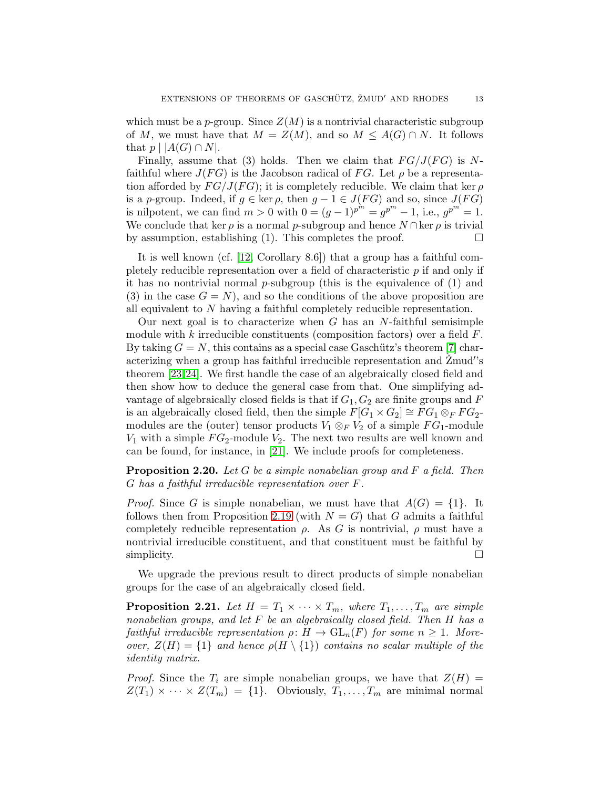which must be a p-group. Since  $Z(M)$  is a nontrivial characteristic subgroup of M, we must have that  $M = Z(M)$ , and so  $M \leq A(G) \cap N$ . It follows that  $p \mid |A(G) \cap N|$ .

Finally, assume that (3) holds. Then we claim that  $FG/J(FG)$  is Nfaithful where  $J(FG)$  is the Jacobson radical of FG. Let  $\rho$  be a representation afforded by  $FG/J(FG)$ ; it is completely reducible. We claim that ker  $\rho$ is a p-group. Indeed, if  $g \in \text{ker } \rho$ , then  $g - 1 \in J(FG)$  and so, since  $J(FG)$ is nilpotent, we can find  $m > 0$  with  $0 = (g - 1)^{p^m} = g^{p^m} - 1$ , i.e.,  $g^{p^m} = 1$ . We conclude that ker  $\rho$  is a normal p-subgroup and hence  $N \cap \text{ker } \rho$  is trivial by assumption, establishing (1). This completes the proof.  $\Box$ 

It is well known (cf. [\[12,](#page-29-15) Corollary 8.6]) that a group has a faithful completely reducible representation over a field of characteristic p if and only if it has no nontrivial normal  $p$ -subgroup (this is the equivalence of  $(1)$  and (3) in the case  $G = N$ ), and so the conditions of the above proposition are all equivalent to  $N$  having a faithful completely reducible representation.

Our next goal is to characterize when  $G$  has an  $N$ -faithful semisimple module with k irreducible constituents (composition factors) over a field  $F$ . By taking  $G = N$ , this contains as a special case Gaschütz's theorem [\[7\]](#page-29-6) characterizing when a group has faithful irreducible representation and  $\check{Z}$ mud's theorem [\[23,](#page-29-8)[24\]](#page-29-9). We first handle the case of an algebraically closed field and then show how to deduce the general case from that. One simplifying advantage of algebraically closed fields is that if  $G_1, G_2$  are finite groups and F is an algebraically closed field, then the simple  $F[G_1 \times G_2] \cong FG_1 \otimes_F FG_2$ modules are the (outer) tensor products  $V_1 \otimes_F V_2$  of a simple  $FG_1$ -module  $V_1$  with a simple  $FG_2$ -module  $V_2$ . The next two results are well known and can be found, for instance, in [\[21\]](#page-29-1). We include proofs for completeness.

<span id="page-12-0"></span>**Proposition 2.20.** Let G be a simple nonabelian group and F a field. Then G has a faithful irreducible representation over F.

*Proof.* Since G is simple nonabelian, we must have that  $A(G) = \{1\}$ . It follows then from Proposition [2.19](#page-11-1) (with  $N = G$ ) that G admits a faithful completely reducible representation  $\rho$ . As G is nontrivial,  $\rho$  must have a nontrivial irreducible constituent, and that constituent must be faithful by  $\Box$ 

We upgrade the previous result to direct products of simple nonabelian groups for the case of an algebraically closed field.

<span id="page-12-1"></span>**Proposition 2.21.** Let  $H = T_1 \times \cdots \times T_m$ , where  $T_1, \ldots, T_m$  are simple nonabelian groups, and let F be an algebraically closed field. Then H has a faithful irreducible representation  $\rho: H \to GL_n(F)$  for some  $n \geq 1$ . Moreover,  $Z(H) = \{1\}$  and hence  $\rho(H \setminus \{1\})$  contains no scalar multiple of the identity matrix.

*Proof.* Since the  $T_i$  are simple nonabelian groups, we have that  $Z(H)$  =  $Z(T_1) \times \cdots \times Z(T_m) = \{1\}$ . Obviously,  $T_1, \ldots, T_m$  are minimal normal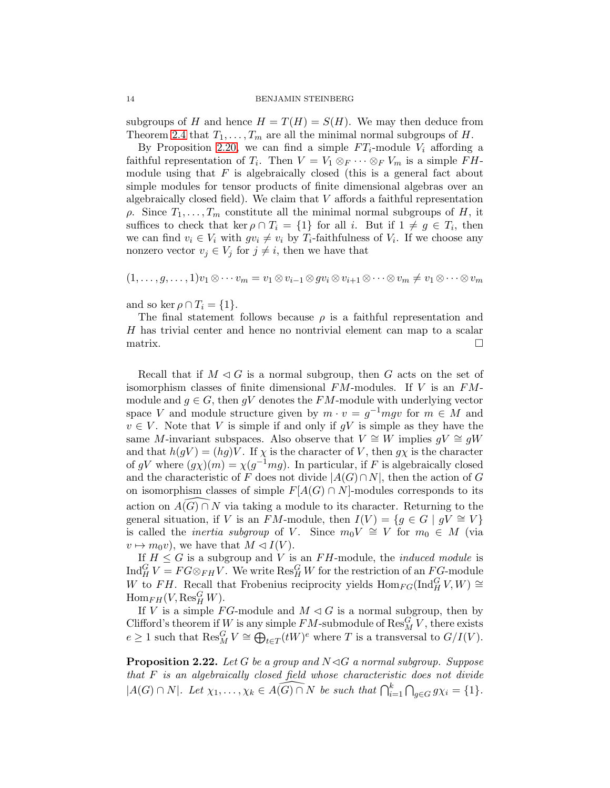subgroups of H and hence  $H = T(H) = S(H)$ . We may then deduce from Theorem [2.4](#page-4-1) that  $T_1, \ldots, T_m$  are all the minimal normal subgroups of H.

By Proposition [2.20,](#page-12-0) we can find a simple  $FT_i$ -module  $V_i$  affording a faithful representation of  $T_i$ . Then  $V = V_1 \otimes_F \cdots \otimes_F V_m$  is a simple  $FH$ module using that  $F$  is algebraically closed (this is a general fact about simple modules for tensor products of finite dimensional algebras over an algebraically closed field). We claim that  $V$  affords a faithful representation  $ρ$ . Since  $T_1, \ldots, T_m$  constitute all the minimal normal subgroups of H, it suffices to check that ker  $\rho \cap T_i = \{1\}$  for all i. But if  $1 \neq g \in T_i$ , then we can find  $v_i \in V_i$  with  $gv_i \neq v_i$  by  $T_i$ -faithfulness of  $V_i$ . If we choose any nonzero vector  $v_j \in V_j$  for  $j \neq i$ , then we have that

$$
(1,\ldots,g,\ldots,1)v_1\otimes\cdots v_m=v_1\otimes v_{i-1}\otimes gv_i\otimes v_{i+1}\otimes\cdots\otimes v_m\neq v_1\otimes\cdots\otimes v_m
$$

and so ker  $\rho \cap T_i = \{1\}.$ 

The final statement follows because  $\rho$  is a faithful representation and H has trivial center and hence no nontrivial element can map to a scalar  $\Box$ 

Recall that if  $M \triangleleft G$  is a normal subgroup, then G acts on the set of isomorphism classes of finite dimensional  $FM$ -modules. If V is an  $FM$ module and  $g \in G$ , then gV denotes the FM-module with underlying vector space V and module structure given by  $m \cdot v = g^{-1} m g v$  for  $m \in M$  and  $v \in V$ . Note that V is simple if and only if gV is simple as they have the same M-invariant subspaces. Also observe that  $V \cong W$  implies  $gV \cong gW$ and that  $h(gV) = (hg)V$ . If  $\chi$  is the character of V, then  $g\chi$  is the character of gV where  $(g\chi)(m) = \chi(g^{-1}mg)$ . In particular, if F is algebraically closed and the characteristic of F does not divide  $|A(G) \cap N|$ , then the action of G on isomorphism classes of simple  $F[A(G) \cap N]$ -modules corresponds to its action on  $A(G) \cap N$  via taking a module to its character. Returning to the general situation, if V is an FM-module, then  $I(V) = \{g \in G \mid gV \cong V\}$ is called the *inertia subgroup* of V. Since  $m_0V \cong V$  for  $m_0 \in M$  (via  $v \mapsto m_0v$ , we have that  $M \lhd I(V)$ .

If  $H \leq G$  is a subgroup and V is an FH-module, the *induced module* is  $\text{Ind}_{H}^{G}V = FG \otimes_{FH} V$ . We write  $\text{Res}_{H}^{G}W$  for the restriction of an  $FG$ -module W to FH. Recall that Frobenius reciprocity yields  $\text{Hom}_{FG}(\text{Ind}_{H}^{G} V, W) \cong$  $\operatorname{Hom}_{FH}(V, \operatorname{Res}^G_H W).$ 

If V is a simple FG-module and  $M \triangleleft G$  is a normal subgroup, then by Clifford's theorem if W is any simple  $FM$ -submodule of  $\text{Res}_{M}^{G}V$ , there exists  $e \geq 1$  such that  $\text{Res}_{M}^{G} V \cong \bigoplus_{t \in T} (tW)^{e}$  where T is a transversal to  $G/I(V)$ .

<span id="page-13-0"></span>**Proposition 2.22.** Let G be a group and  $N \triangleleft G$  a normal subgroup. Suppose that F is an algebraically closed field whose characteristic does not divide  $|A(G) \cap N|$ . Let  $\chi_1, \ldots, \chi_k \in \widehat{A(G) \cap N}$  be such that  $\bigcap_{i=1}^k \bigcap_{g \in G} g\chi_i = \{1\}.$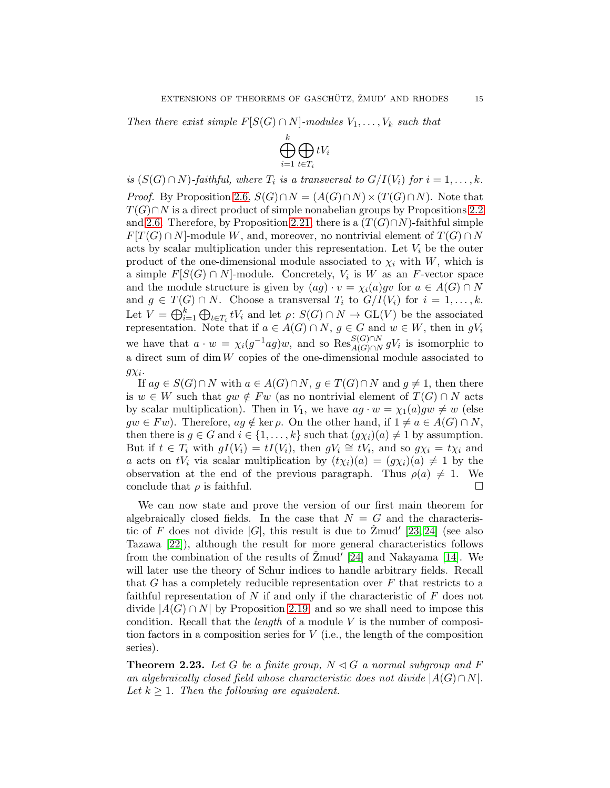Then there exist simple  $F[S(G) \cap N]$ -modules  $V_1, \ldots, V_k$  such that



is  $(S(G) \cap N)$ -faithful, where  $T_i$  is a transversal to  $G/I(V_i)$  for  $i = 1, \ldots, k$ . *Proof.* By Proposition [2.6,](#page-5-1)  $S(G) \cap N = (A(G) \cap N) \times (T(G) \cap N)$ . Note that  $T(G) \cap N$  is a direct product of simple nonabelian groups by Propositions [2.2](#page-4-3) and [2.6.](#page-5-1) Therefore, by Proposition [2.21,](#page-12-1) there is a  $(T(G) \cap N)$ -faithful simple  $F[T(G) \cap N]$ -module W, and, moreover, no nontrivial element of  $T(G) \cap N$ acts by scalar multiplication under this representation. Let  $V_i$  be the outer product of the one-dimensional module associated to  $\chi_i$  with W, which is a simple  $F[S(G) \cap N]$ -module. Concretely,  $V_i$  is W as an F-vector space and the module structure is given by  $(ag) \cdot v = \chi_i(a)gv$  for  $a \in A(G) \cap N$ and  $g \in T(G) \cap N$ . Choose a transversal  $T_i$  to  $G/I(V_i)$  for  $i = 1, ..., k$ . Let  $V = \bigoplus_{i=1}^k \bigoplus_{t \in T_i} tV_i$  and let  $\rho: S(G) \cap N \to GL(V)$  be the associated representation. Note that if  $a \in A(G) \cap N$ ,  $g \in G$  and  $w \in W$ , then in  $gV_i$ we have that  $a \cdot w = \chi_i(g^{-1}ag)w$ , and so  $\text{Res}_{A(G) \cap N}^{S(G) \cap N} gV_i$  is isomorphic to a direct sum of  $\dim W$  copies of the one-dimensional module associated to  $g\chi_i$ .

If  $ag \in S(G) \cap N$  with  $a \in A(G) \cap N$ ,  $g \in T(G) \cap N$  and  $g \neq 1$ , then there is  $w \in W$  such that  $gw \notin Fw$  (as no nontrivial element of  $T(G) \cap N$  acts by scalar multiplication). Then in  $V_1$ , we have  $ag \cdot w = \chi_1(a)gw \neq w$  (else  $gw \in Fw$ ). Therefore,  $ag \notin \text{ker } \rho$ . On the other hand, if  $1 \neq a \in A(G) \cap N$ , then there is  $g \in G$  and  $i \in \{1, ..., k\}$  such that  $(g\chi_i)(a) \neq 1$  by assumption. But if  $t \in T_i$  with  $gI(V_i) = tI(V_i)$ , then  $gV_i \cong tV_i$ , and so  $g\chi_i = t\chi_i$  and a acts on  $tV_i$  via scalar multiplication by  $(t\chi_i)(a) = (g\chi_i)(a) \neq 1$  by the observation at the end of the previous paragraph. Thus  $\rho(a) \neq 1$ . We conclude that  $\rho$  is faithful.

We can now state and prove the version of our first main theorem for algebraically closed fields. In the case that  $N = G$  and the characteristic of F does not divide  $|G|$ , this result is due to  $\text{Zmud}'$  [\[23,](#page-29-8) [24\]](#page-29-9) (see also Tazawa [\[22\]](#page-29-7)), although the result for more general characteristics follows from the combination of the results of  $\text{Zmud}^{\prime}$  [\[24\]](#page-29-9) and Nakayama [\[14\]](#page-29-5). We will later use the theory of Schur indices to handle arbitrary fields. Recall that G has a completely reducible representation over  $F$  that restricts to a faithful representation of  $N$  if and only if the characteristic of  $F$  does not divide  $|A(G) \cap N|$  by Proposition [2.19,](#page-11-1) and so we shall need to impose this condition. Recall that the *length* of a module  $V$  is the number of composition factors in a composition series for  $V$  (i.e., the length of the composition series).

<span id="page-14-0"></span>**Theorem 2.23.** Let G be a finite group,  $N \triangleleft G$  a normal subgroup and F an algebraically closed field whose characteristic does not divide  $|A(G) \cap N|$ . Let  $k \geq 1$ . Then the following are equivalent.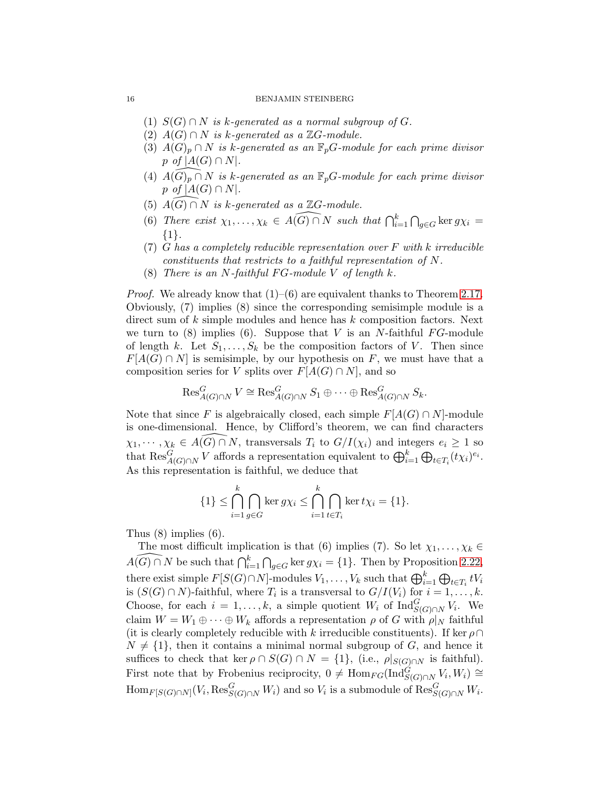- (1)  $S(G) \cap N$  is k-generated as a normal subgroup of G.
- (2)  $A(G) \cap N$  is k-generated as a  $\mathbb{Z}G$ -module.
- (3)  $A(G)_p \cap N$  is k-generated as an  $\mathbb{F}_pG$ -module for each prime divisor p of  $|A(G) \cap N|$ .
- (4)  $A(G)_p \cap N$  is k-generated as an  $\mathbb{F}_pG$ -module for each prime divisor p of  $|A(G) \cap N|$ .
- (5)  $A(G) \cap N$  is k-generated as a  $\mathbb{Z}G$ -module.
- (6) There exist  $\chi_1, \ldots, \chi_k \in \widehat{A(G) \cap N}$  such that  $\bigcap_{i=1}^k \bigcap_{g \in G} \ker g\chi_i =$ {1}.
- (7) G has a completely reducible representation over  $F$  with k irreducible constituents that restricts to a faithful representation of N.
- (8) There is an N-faithful FG-module V of length  $k$ .

*Proof.* We already know that  $(1)$ – $(6)$  are equivalent thanks to Theorem [2.17.](#page-10-1) Obviously, (7) implies (8) since the corresponding semisimple module is a direct sum of  $k$  simple modules and hence has  $k$  composition factors. Next we turn to  $(8)$  implies  $(6)$ . Suppose that V is an N-faithful FG-module of length k. Let  $S_1, \ldots, S_k$  be the composition factors of V. Then since  $F[A(G) \cap N]$  is semisimple, by our hypothesis on F, we must have that a composition series for V splits over  $F[A(G) \cap N]$ , and so

$$
\operatorname{Res}_{A(G)\cap N}^G V \cong \operatorname{Res}_{A(G)\cap N}^G S_1 \oplus \cdots \oplus \operatorname{Res}_{A(G)\cap N}^G S_k.
$$

Note that since F is algebraically closed, each simple  $F[A(G) \cap N]$ -module is one-dimensional. Hence, by Clifford's theorem, we can find characters  $\chi_1, \cdots, \chi_k \in \widehat{A(G) \cap N}$ , transversals  $T_i$  to  $G/I(\chi_i)$  and integers  $e_i \geq 1$  so that  $\text{Res}_{A(G)\cap N}^G V$  affords a representation equivalent to  $\bigoplus_{i=1}^k \bigoplus_{t\in T_i} (t\chi_i)^{e_i}$ . As this representation is faithful, we deduce that

$$
\{1\} \leq \bigcap_{i=1}^k \bigcap_{g \in G} \ker g\chi_i \leq \bigcap_{i=1}^k \bigcap_{t \in T_i} \ker t\chi_i = \{1\}.
$$

Thus (8) implies (6).

The most difficult implication is that (6) implies (7). So let  $\chi_1, \ldots, \chi_k \in \widehat{A(G) \cap N}$  be such that  $\bigcap_{i=1}^k \bigcap_{g \in G} \ker g \chi_i = \{1\}$ . Then by Proposition [2.22,](#page-13-0) there exist simple  $F[S(G) \cap N]$ -modules  $V_1, \ldots, V_k$  such that  $\bigoplus_{i=1}^k \bigoplus_{t \in T_i} tV_i$ is  $(S(G) \cap N)$ -faithful, where  $T_i$  is a transversal to  $G/I(V_i)$  for  $i = 1, ..., k$ . Choose, for each  $i = 1, ..., k$ , a simple quotient  $W_i$  of  $\text{Ind}_{S(G) \cap N}^G V_i$ . We claim  $W = W_1 \oplus \cdots \oplus W_k$  affords a representation  $\rho$  of G with  $\rho|_N$  faithful (it is clearly completely reducible with k irreducible constituents). If ker  $\rho \cap$  $N \neq \{1\}$ , then it contains a minimal normal subgroup of G, and hence it suffices to check that ker  $\rho \cap S(G) \cap N = \{1\}$ , (i.e.,  $\rho|_{S(G) \cap N}$  is faithful). First note that by Frobenius reciprocity,  $0 \neq \text{Hom}_{FG}(\text{Ind}_{S(G) \cap N}^{\tilde{G}} V_i, W_i) \cong$  $\text{Hom}_{F[S(G)\cap N]}(V_i, \text{Res}^G_{S(G)\cap N}W_i)$  and so  $V_i$  is a submodule of  $\text{Res}^G_{S(G)\cap N}W_i$ .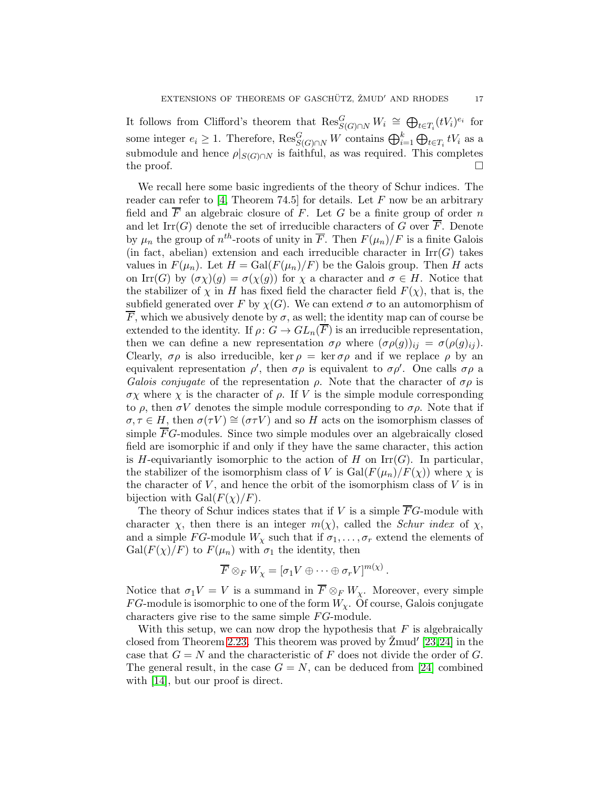It follows from Clifford's theorem that  $\text{Res}_{S(G)\cap N}^G W_i \cong \bigoplus_{t\in T_i} (tV_i)^{e_i}$  for some integer  $e_i \geq 1$ . Therefore,  $\text{Res}_{S(G) \cap N}^G W$  contains  $\bigoplus_{i=1}^k \bigoplus_{t \in T_i} tV_i$  as a submodule and hence  $\rho|_{S(G)\cap N}$  is faithful, as was required. This completes the proof.  $\Box$ 

We recall here some basic ingredients of the theory of Schur indices. The reader can refer to [\[4,](#page-29-16) Theorem 74.5] for details. Let  $F$  now be an arbitrary field and  $\overline{F}$  an algebraic closure of F. Let G be a finite group of order n and let Irr(G) denote the set of irreducible characters of G over  $\overline{F}$ . Denote by  $\mu_n$  the group of  $n^{th}$ -roots of unity in  $\overline{F}$ . Then  $F(\mu_n)/F$  is a finite Galois (in fact, abelian) extension and each irreducible character in  $\text{Irr}(G)$  takes values in  $F(\mu_n)$ . Let  $H = \text{Gal}(F(\mu_n)/F)$  be the Galois group. Then H acts on Irr(G) by  $(\sigma \chi)(g) = \sigma(\chi(g))$  for  $\chi$  a character and  $\sigma \in H$ . Notice that the stabilizer of  $\chi$  in H has fixed field the character field  $F(\chi)$ , that is, the subfield generated over F by  $\chi(G)$ . We can extend  $\sigma$  to an automorphism of  $\overline{F}$ , which we abusively denote by  $\sigma$ , as well; the identity map can of course be extended to the identity. If  $\rho: G \to GL_n(\overline{F})$  is an irreducible representation, then we can define a new representation  $\sigma \rho$  where  $(\sigma \rho(g))_{ij} = \sigma(\rho(g)_{ij}).$ Clearly,  $\sigma \rho$  is also irreducible, ker  $\rho = \ker \sigma \rho$  and if we replace  $\rho$  by an equivalent representation  $\rho'$ , then  $\sigma \rho$  is equivalent to  $\sigma \rho'$ . One calls  $\sigma \rho$  a Galois conjugate of the representation  $\rho$ . Note that the character of  $\sigma \rho$  is  $\sigma$ *χ* where *χ* is the character of  $\rho$ . If *V* is the simple module corresponding to  $\rho$ , then  $\sigma V$  denotes the simple module corresponding to  $\sigma \rho$ . Note that if  $\sigma, \tau \in H$ , then  $\sigma(\tau V) \cong (\sigma \tau V)$  and so H acts on the isomorphism classes of simple  $\overline{F}G$ -modules. Since two simple modules over an algebraically closed field are isomorphic if and only if they have the same character, this action is H-equivariantly isomorphic to the action of H on  $\mathrm{Irr}(G)$ . In particular, the stabilizer of the isomorphism class of V is  $Gal(F(\mu_n)/F(\chi))$  where  $\chi$  is the character of  $V$ , and hence the orbit of the isomorphism class of  $V$  is in bijection with  $Gal(F(\chi)/F)$ .

The theory of Schur indices states that if V is a simple  $\overline{F}G$ -module with character  $\chi$ , then there is an integer  $m(\chi)$ , called the *Schur index* of  $\chi$ , and a simple FG-module  $W_\chi$  such that if  $\sigma_1, \ldots, \sigma_r$  extend the elements of  $Gal(F(\chi)/F)$  to  $F(\mu_n)$  with  $\sigma_1$  the identity, then

$$
\overline{F}\otimes_F W_\chi=[\sigma_1V\oplus\cdots\oplus\sigma_rV]^{m(\chi)}\,.
$$

Notice that  $\sigma_1 V = V$  is a summand in  $\overline{F} \otimes_F W_{\chi}$ . Moreover, every simple FG-module is isomorphic to one of the form  $W_{\chi}$ . Of course, Galois conjugate characters give rise to the same simple  $FG$ -module.

With this setup, we can now drop the hypothesis that  $F$  is algebraically closed from Theorem [2.23.](#page-14-0) This theorem was proved by  $\check{Z}$ mud'  $[23,24]$  $[23,24]$  in the case that  $G = N$  and the characteristic of F does not divide the order of G. The general result, in the case  $G = N$ , can be deduced from [\[24\]](#page-29-9) combined with [\[14\]](#page-29-5), but our proof is direct.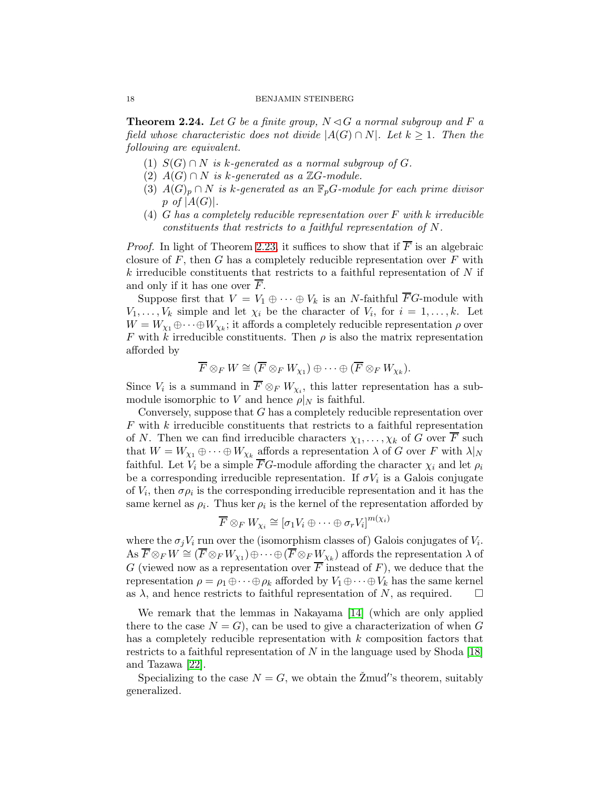<span id="page-17-0"></span>**Theorem 2.24.** Let G be a finite group,  $N \triangleleft G$  a normal subgroup and F a field whose characteristic does not divide  $|A(G) \cap N|$ . Let  $k \geq 1$ . Then the following are equivalent.

- (1)  $S(G) \cap N$  is k-generated as a normal subgroup of G.
- (2)  $A(G) \cap N$  is k-generated as a  $\mathbb{Z}G$ -module.
- (3)  $A(G)_p \cap N$  is k-generated as an  $\mathbb{F}_p$ G-module for each prime divisor p of  $|A(G)|$ .
- (4) G has a completely reducible representation over  $F$  with k irreducible constituents that restricts to a faithful representation of N.

*Proof.* In light of Theorem [2.23,](#page-14-0) it suffices to show that if  $\overline{F}$  is an algebraic closure of  $F$ , then  $G$  has a completely reducible representation over  $F$  with  $k$  irreducible constituents that restricts to a faithful representation of  $N$  if and only if it has one over F.

Suppose first that  $V = V_1 \oplus \cdots \oplus V_k$  is an N-faithful  $\overline{F}G$ -module with  $V_1, \ldots, V_k$  simple and let  $\chi_i$  be the character of  $V_i$ , for  $i = 1, \ldots, k$ . Let  $W = W_{\chi_1} \oplus \cdots \oplus W_{\chi_k}$ ; it affords a completely reducible representation  $\rho$  over F with k irreducible constituents. Then  $\rho$  is also the matrix representation afforded by

$$
\overline{F}\otimes_F W \cong (\overline{F}\otimes_F W_{\chi_1})\oplus \cdots \oplus (\overline{F}\otimes_F W_{\chi_k}).
$$

Since  $V_i$  is a summand in  $F \otimes_F W_{\chi_i}$ , this latter representation has a submodule isomorphic to V and hence  $\rho|_N$  is faithful.

Conversely, suppose that G has a completely reducible representation over  $F$  with  $k$  irreducible constituents that restricts to a faithful representation of N. Then we can find irreducible characters  $\chi_1, \ldots, \chi_k$  of G over  $\overline{F}$  such that  $W = W_{\chi_1} \oplus \cdots \oplus W_{\chi_k}$  affords a representation  $\lambda$  of G over F with  $\lambda|_N$ faithful. Let  $V_i$  be a simple  $\overline{F}G$ -module affording the character  $\chi_i$  and let  $\rho_i$ be a corresponding irreducible representation. If  $\sigma V_i$  is a Galois conjugate of  $V_i$ , then  $\sigma \rho_i$  is the corresponding irreducible representation and it has the same kernel as  $\rho_i$ . Thus ker  $\rho_i$  is the kernel of the representation afforded by

$$
\overline{F} \otimes_F W_{\chi_i} \cong [\sigma_1 V_i \oplus \cdots \oplus \sigma_r V_i]^{m(\chi_i)}
$$

where the  $\sigma_j V_i$  run over the (isomorphism classes of) Galois conjugates of  $V_i$ .  $\overline{A} \text{s } \overline{F} \otimes_F W \cong (\overline{F} \otimes_F W_{\chi_1}) \oplus \cdots \oplus (\overline{F} \otimes_F W_{\chi_k})$  affords the representation  $\lambda$  of G (viewed now as a representation over  $\overline{F}$  instead of F), we deduce that the representation  $\rho = \rho_1 \oplus \cdots \oplus \rho_k$  afforded by  $V_1 \oplus \cdots \oplus V_k$  has the same kernel as  $\lambda$ , and hence restricts to faithful representation of N, as required.  $\square$ 

We remark that the lemmas in Nakayama [\[14\]](#page-29-5) (which are only applied there to the case  $N = G$ , can be used to give a characterization of when G has a completely reducible representation with  $k$  composition factors that restricts to a faithful representation of N in the language used by Shoda  $[18]$ and Tazawa [\[22\]](#page-29-7).

Specializing to the case  $N = G$ , we obtain the  $\check{Z}$ mud's theorem, suitably generalized.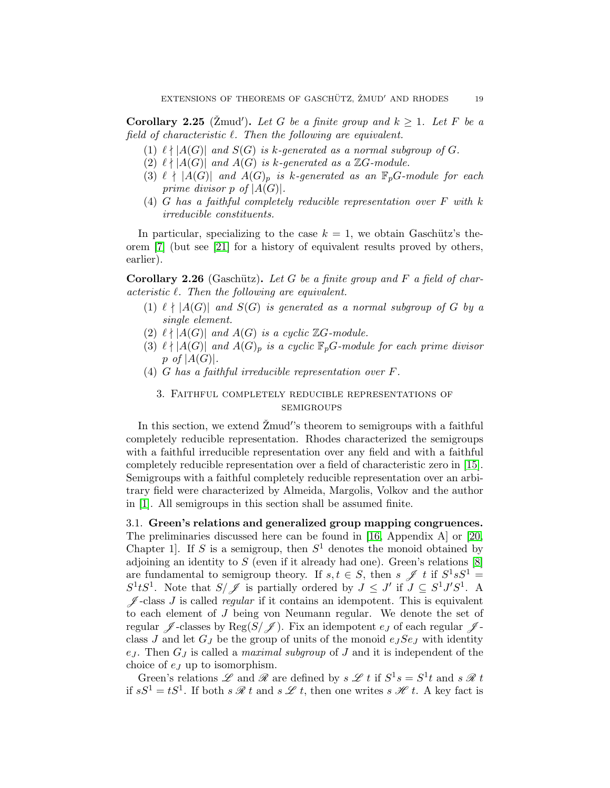<span id="page-18-1"></span>Corollary 2.25 ( $\text{Zmud}'$ ). Let G be a finite group and  $k \geq 1$ . Let F be a field of characteristic  $\ell$ . Then the following are equivalent.

- (1)  $\ell \nmid |A(G)|$  and  $S(G)$  is k-generated as a normal subgroup of G.
- (2)  $\ell \nmid |A(G)|$  and  $A(G)$  is k-generated as a  $\mathbb{Z}G$ -module.
- (3)  $\ell \nmid |A(G)|$  and  $A(G)_p$  is k-generated as an  $\mathbb{F}_p$ G-module for each prime divisor p of  $|A(G)|$ .
- (4) G has a faithful completely reducible representation over F with k irreducible constituents.

In particular, specializing to the case  $k = 1$ , we obtain Gaschütz's theorem [\[7\]](#page-29-6) (but see [\[21\]](#page-29-1) for a history of equivalent results proved by others, earlier).

<span id="page-18-2"></span>**Corollary 2.26** (Gaschütz). Let G be a finite group and F a field of characteristic  $\ell$ . Then the following are equivalent.

- (1)  $\ell \nmid |A(G)|$  and  $S(G)$  is generated as a normal subgroup of G by a single element.
- $(2) \ell \nmid |A(G)|$  and  $A(G)$  is a cyclic  $\mathbb{Z}$ *G*-module.
- (3)  $\ell \nmid |A(G)|$  and  $A(G)_p$  is a cyclic  $\mathbb{F}_p$ G-module for each prime divisor p of  $|A(G)|$ .
- <span id="page-18-0"></span>(4) G has a faithful irreducible representation over F.

### 3. Faithful completely reducible representations of **SEMIGROUPS**

In this section, we extend  $\check{Z}$ mud''s theorem to semigroups with a faithful completely reducible representation. Rhodes characterized the semigroups with a faithful irreducible representation over any field and with a faithful completely reducible representation over a field of characteristic zero in [\[15\]](#page-29-10). Semigroups with a faithful completely reducible representation over an arbitrary field were characterized by Almeida, Margolis, Volkov and the author in [\[1\]](#page-28-1). All semigroups in this section shall be assumed finite.

3.1. Green's relations and generalized group mapping congruences. The preliminaries discussed here can be found in [\[16,](#page-29-17) Appendix A] or [\[20,](#page-29-18) Chapter 1. If S is a semigroup, then  $S<sup>1</sup>$  denotes the monoid obtained by adjoining an identity to  $S$  (even if it already had one). Green's relations  $[8]$ are fundamental to semigroup theory. If  $s, t \in S$ , then  $s \mathscr{J} t$  if  $S^1 s S^1 =$  $S^1 t S^1$ . Note that  $S/\mathscr{J}$  is partially ordered by  $J \leq J'$  if  $J \subseteq S^1 J' S^1$ . A  $\mathscr J$ -class  $J$  is called *regular* if it contains an idempotent. This is equivalent to each element of J being von Neumann regular. We denote the set of regular  $\mathscr J$ -classes by Reg(S/ $\mathscr J$ ). Fix an idempotent  $e_J$  of each regular  $\mathscr J$ class  $J$  and let  $G_J$  be the group of units of the monoid  $e_J S e_J$  with identity  $e_J$ . Then  $G_J$  is called a *maximal subgroup* of J and it is independent of the choice of  $e_j$  up to isomorphism.

Green's relations  $\mathscr L$  and  $\mathscr R$  are defined by  $s \mathscr L t$  if  $S^1s = S^1t$  and  $s \mathscr R t$ if  $sS^1 = tS^1$ . If both  $s \mathcal{R} t$  and  $s \mathcal{L} t$ , then one writes  $s \mathcal{H} t$ . A key fact is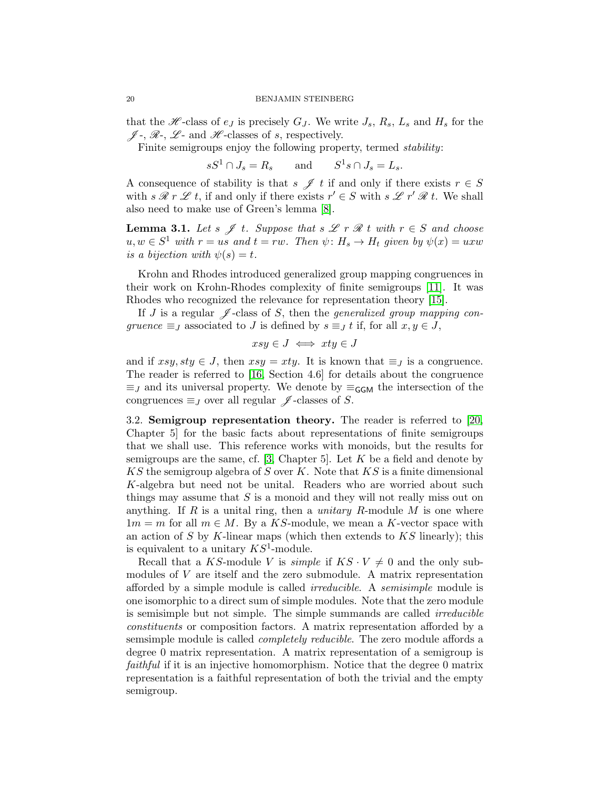that the  $\mathscr{H}$ -class of  $e_j$  is precisely  $G_j$ . We write  $J_s$ ,  $R_s$ ,  $L_s$  and  $H_s$  for the  $\mathscr{J}$ -,  $\mathscr{R}$ -,  $\mathscr{L}$ - and  $\mathscr{H}$ -classes of s, respectively.

Finite semigroups enjoy the following property, termed stability:

 $sS^1 \cap J_s = R_s$  and  $S^1 s \cap J_s = L_s$ .

A consequence of stability is that  $s \mathcal{J} t$  if and only if there exists  $r \in S$ with  $s \mathcal{R} r \mathcal{L} t$ , if and only if there exists  $r' \in S$  with  $s \mathcal{L} r' \mathcal{R} t$ . We shall also need to make use of Green's lemma [\[8\]](#page-29-19).

**Lemma 3.1.** Let s  $\mathscr{J}$  t. Suppose that s  $\mathscr{L}$  r  $\mathscr{R}$  t with  $r \in S$  and choose  $u, w \in S^1$  with  $r = us$  and  $t = rw$ . Then  $\psi \colon H_s \to H_t$  given by  $\psi(x) = uxw$ is a bijection with  $\psi(s) = t$ .

Krohn and Rhodes introduced generalized group mapping congruences in their work on Krohn-Rhodes complexity of finite semigroups [\[11\]](#page-29-20). It was Rhodes who recognized the relevance for representation theory [\[15\]](#page-29-10).

If J is a regular  $\mathscr J$ -class of S, then the *generalized group mapping con*gruence  $\equiv_J$  associated to J is defined by  $s \equiv_J t$  if, for all  $x, y \in J$ ,

$$
xsy \in J \iff xty \in J
$$

and if  $xsy, sty \in J$ , then  $xsy = xty$ . It is known that  $\equiv_J$  is a congruence. The reader is referred to [\[16,](#page-29-17) Section 4.6] for details about the congruence  $\equiv_J$  and its universal property. We denote by  $\equiv_{\mathsf{GGM}}$  the intersection of the congruences  $\equiv_J$  over all regular  $\mathscr J$ -classes of S.

3.2. Semigroup representation theory. The reader is referred to [\[20,](#page-29-18) Chapter 5] for the basic facts about representations of finite semigroups that we shall use. This reference works with monoids, but the results for semigroups are the same, cf.  $[3, Chapter 5]$ . Let K be a field and denote by KS the semigroup algebra of S over K. Note that  $KS$  is a finite dimensional K-algebra but need not be unital. Readers who are worried about such things may assume that  $S$  is a monoid and they will not really miss out on anything. If R is a unital ring, then a *unitary R*-module M is one where  $1m = m$  for all  $m \in M$ . By a KS-module, we mean a K-vector space with an action of S by K-linear maps (which then extends to  $KS$  linearly); this is equivalent to a unitary  $KS^1$ -module.

Recall that a KS-module V is *simple* if  $KS \cdot V \neq 0$  and the only submodules of V are itself and the zero submodule. A matrix representation afforded by a simple module is called irreducible. A semisimple module is one isomorphic to a direct sum of simple modules. Note that the zero module is semisimple but not simple. The simple summands are called irreducible constituents or composition factors. A matrix representation afforded by a semsimple module is called *completely reducible*. The zero module affords a degree 0 matrix representation. A matrix representation of a semigroup is faithful if it is an injective homomorphism. Notice that the degree 0 matrix representation is a faithful representation of both the trivial and the empty semigroup.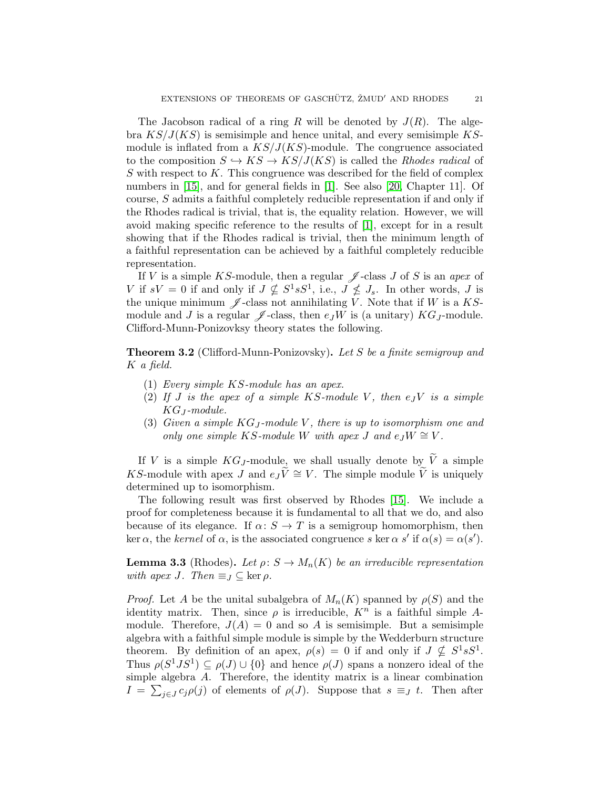The Jacobson radical of a ring R will be denoted by  $J(R)$ . The algebra  $KS/J(KS)$  is semisimple and hence unital, and every semisimple KSmodule is inflated from a  $KS/J(KS)$ -module. The congruence associated to the composition  $S \hookrightarrow KS \rightarrow KS/J(KS)$  is called the *Rhodes radical* of S with respect to  $K$ . This congruence was described for the field of complex numbers in [\[15\]](#page-29-10), and for general fields in [\[1\]](#page-28-1). See also [\[20,](#page-29-18) Chapter 11]. Of course, S admits a faithful completely reducible representation if and only if the Rhodes radical is trivial, that is, the equality relation. However, we will avoid making specific reference to the results of [\[1\]](#page-28-1), except for in a result showing that if the Rhodes radical is trivial, then the minimum length of a faithful representation can be achieved by a faithful completely reducible representation.

If V is a simple KS-module, then a regular  $\mathscr J$ -class J of S is an apex of V if  $sV = 0$  if and only if  $J \nsubseteq S^1 sS^1$ , i.e.,  $J \nsubseteq J_s$ . In other words, J is the unique minimum  $\mathscr{J}$ -class not annihilating V. Note that if W is a KSmodule and J is a regular  $\mathscr J$ -class, then  $e_JW$  is (a unitary)  $KG_J\text{-module.}$ Clifford-Munn-Ponizovksy theory states the following.

<span id="page-20-0"></span>**Theorem 3.2** (Clifford-Munn-Ponizovsky). Let S be a finite semigroup and K a field.

- (1) Every simple KS-module has an apex.
- (2) If J is the apex of a simple KS-module V, then  $e_JV$  is a simple  $KG_J$ -module.
- (3) Given a simple  $KG_J$ -module V, there is up to isomorphism one and only one simple KS-module W with apex J and  $e_JW \cong V$ .

If V is a simple  $KG_J$ -module, we shall usually denote by  $\widetilde{V}$  a simple KS-module with apex J and  $e_J\tilde{V} \cong V$ . The simple module  $\tilde{V}$  is uniquely determined up to isomorphism.

The following result was first observed by Rhodes [\[15\]](#page-29-10). We include a proof for completeness because it is fundamental to all that we do, and also because of its elegance. If  $\alpha: S \to T$  is a semigroup homomorphism, then ker  $\alpha$ , the kernel of  $\alpha$ , is the associated congruence s ker  $\alpha$  s' if  $\alpha(s) = \alpha(s')$ .

<span id="page-20-1"></span>**Lemma 3.3** (Rhodes). Let  $\rho: S \to M_n(K)$  be an irreducible representation with apex J. Then  $\equiv_J \subseteq \ker \rho$ .

*Proof.* Let A be the unital subalgebra of  $M_n(K)$  spanned by  $\rho(S)$  and the identity matrix. Then, since  $\rho$  is irreducible,  $K^n$  is a faithful simple Amodule. Therefore,  $J(A) = 0$  and so A is semisimple. But a semisimple algebra with a faithful simple module is simple by the Wedderburn structure theorem. By definition of an apex,  $\rho(s) = 0$  if and only if  $J \nsubseteq S^1 sS^1$ . Thus  $\rho(S^1JS^1) \subseteq \rho(J) \cup \{0\}$  and hence  $\rho(J)$  spans a nonzero ideal of the simple algebra A. Therefore, the identity matrix is a linear combination  $I = \sum_{j\in J} c_j \rho(j)$  of elements of  $\rho(J)$ . Suppose that  $s \equiv_J t$ . Then after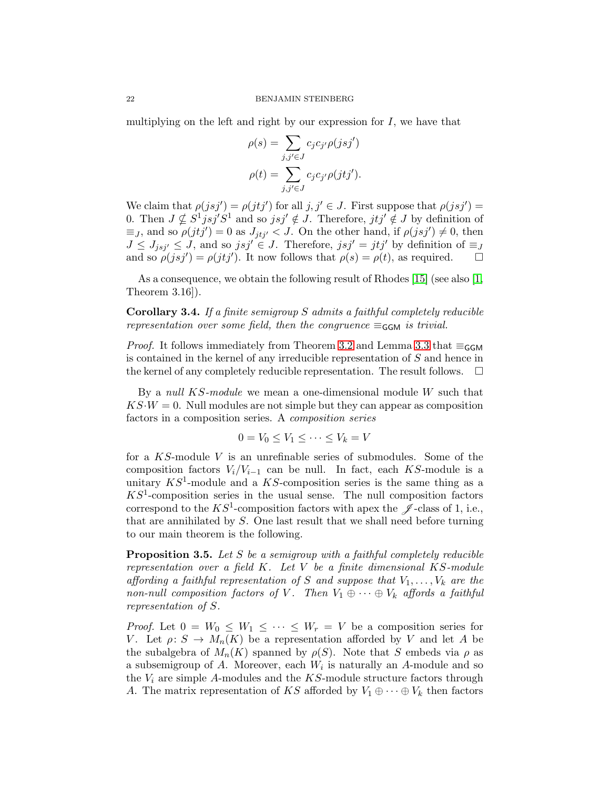multiplying on the left and right by our expression for  $I$ , we have that

$$
\rho(s) = \sum_{j,j' \in J} c_j c_{j'} \rho(jsj')
$$

$$
\rho(t) = \sum_{j,j' \in J} c_j c_{j'} \rho(jtj').
$$

We claim that  $\rho(jsj') = \rho(jt'j')$  for all  $j, j' \in J$ . First suppose that  $\rho(jsj') =$ 0. Then  $J \nsubseteq S^1 j s j' S^1$  and so  $j s j' \notin J$ . Therefore,  $j t j' \notin J$  by definition of  $\equiv_J$ , and so  $\rho(jt'j')=0$  as  $J_{jt'j'} < J$ . On the other hand, if  $\rho(jsj') \neq 0$ , then  $J \leq J_{jsj'} \leq J$ , and so  $jsj' \in J$ . Therefore,  $jsj' = j t j'$  by definition of  $\equiv_J$ and so  $\rho(jsj') = \rho(jt j')$ . It now follows that  $\rho(s) = \rho(t)$ , as required.  $\square$ 

As a consequence, we obtain the following result of Rhodes [\[15\]](#page-29-10) (see also [\[1,](#page-28-1) Theorem 3.16]).

<span id="page-21-0"></span>Corollary 3.4. If a finite semigroup S admits a faithful completely reducible representation over some field, then the congruence  $\equiv_{\mathsf{GGM}}$  is trivial.

*Proof.* It follows immediately from Theorem [3.2](#page-20-0) and Lemma [3.3](#page-20-1) that  $\equiv_{\mathsf{GGM}}$ is contained in the kernel of any irreducible representation of S and hence in the kernel of any completely reducible representation. The result follows.  $\Box$ 

By a *null KS-module* we mean a one-dimensional module W such that  $KS \cdot W = 0$ . Null modules are not simple but they can appear as composition factors in a composition series. A composition series

$$
0 = V_0 \le V_1 \le \dots \le V_k = V
$$

for a KS-module V is an unrefinable series of submodules. Some of the composition factors  $V_i/V_{i-1}$  can be null. In fact, each KS-module is a unitary  $KS^1$ -module and a KS-composition series is the same thing as a  $KS<sup>1</sup>$ -composition series in the usual sense. The null composition factors correspond to the  $KS^1$ -composition factors with apex the  $\mathscr J$ -class of 1, i.e., that are annihilated by S. One last result that we shall need before turning to our main theorem is the following.

<span id="page-21-1"></span>Proposition 3.5. Let S be a semigroup with a faithful completely reducible representation over a field  $K$ . Let  $V$  be a finite dimensional  $KS$ -module affording a faithful representation of S and suppose that  $V_1, \ldots, V_k$  are the non-null composition factors of V. Then  $V_1 \oplus \cdots \oplus V_k$  affords a faithful representation of S.

*Proof.* Let  $0 = W_0 \leq W_1 \leq \cdots \leq W_r = V$  be a composition series for V. Let  $\rho: S \to M_n(K)$  be a representation afforded by V and let A be the subalgebra of  $M_n(K)$  spanned by  $\rho(S)$ . Note that S embeds via  $\rho$  as a subsemigroup of  $A$ . Moreover, each  $W_i$  is naturally an  $A$ -module and so the  $V_i$  are simple A-modules and the  $KS$ -module structure factors through A. The matrix representation of KS afforded by  $V_1 \oplus \cdots \oplus V_k$  then factors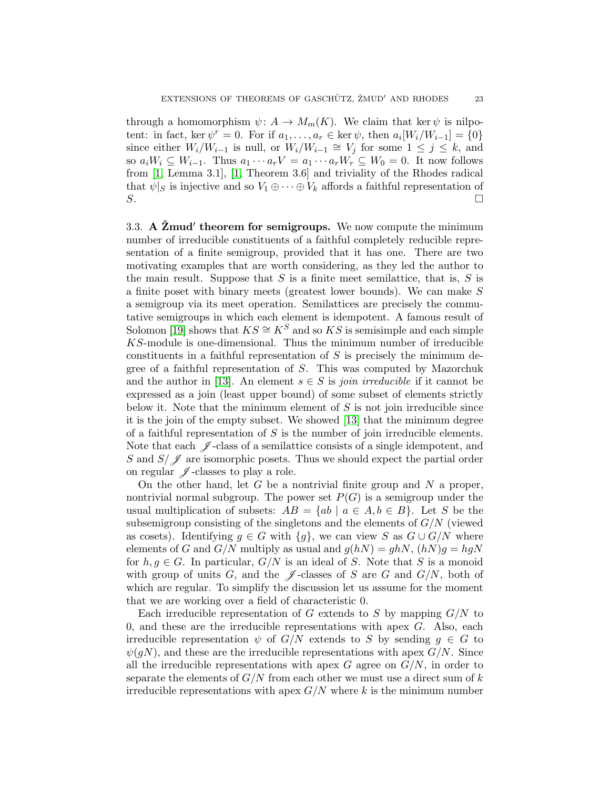through a homomorphism  $\psi: A \to M_m(K)$ . We claim that ker  $\psi$  is nilpotent: in fact, ker  $\psi^r = 0$ . For if  $a_1, \ldots, a_r \in \ker \psi$ , then  $a_i[W_i/W_{i-1}] = \{0\}$ since either  $W_i/W_{i-1}$  is null, or  $W_i/W_{i-1} \cong V_j$  for some  $1 \leq j \leq k$ , and so  $a_iW_i \subseteq W_{i-1}$ . Thus  $a_1 \cdots a_rV = a_1 \cdots a_rW_r \subseteq W_0 = 0$ . It now follows from [\[1,](#page-28-1) Lemma 3.1], [\[1,](#page-28-1) Theorem 3.6] and triviality of the Rhodes radical that  $\psi|_S$  is injective and so  $V_1 \oplus \cdots \oplus V_k$  affords a faithful representation of  $S$ .

3.3. A  $\check{Z}$ mud' theorem for semigroups. We now compute the minimum number of irreducible constituents of a faithful completely reducible representation of a finite semigroup, provided that it has one. There are two motivating examples that are worth considering, as they led the author to the main result. Suppose that  $S$  is a finite meet semilattice, that is,  $S$  is a finite poset with binary meets (greatest lower bounds). We can make S a semigroup via its meet operation. Semilattices are precisely the commutative semigroups in which each element is idempotent. A famous result of Solomon [\[19\]](#page-29-21) shows that  $KS \cong K^S$  and so KS is semisimple and each simple KS-module is one-dimensional. Thus the minimum number of irreducible constituents in a faithful representation of  $S$  is precisely the minimum degree of a faithful representation of S. This was computed by Mazorchuk and the author in [\[13\]](#page-29-0). An element  $s \in S$  is *join irreducible* if it cannot be expressed as a join (least upper bound) of some subset of elements strictly below it. Note that the minimum element of  $S$  is not join irreducible since it is the join of the empty subset. We showed [\[13\]](#page-29-0) that the minimum degree of a faithful representation of  $S$  is the number of join irreducible elements. Note that each  $\mathscr J$ -class of a semilattice consists of a single idempotent, and S and  $S/\mathscr{J}$  are isomorphic posets. Thus we should expect the partial order on regular  $\mathscr J$ -classes to play a role.

On the other hand, let G be a nontrivial finite group and  $N$  a proper, nontrivial normal subgroup. The power set  $P(G)$  is a semigroup under the usual multiplication of subsets:  $AB = \{ab \mid a \in A, b \in B\}$ . Let S be the subsemigroup consisting of the singletons and the elements of  $G/N$  (viewed as cosets). Identifying  $g \in G$  with  $\{g\}$ , we can view S as  $G \cup G/N$  where elements of G and  $G/N$  multiply as usual and  $g(hN) = ghN$ ,  $(hN)g = hgN$ for  $h, g \in G$ . In particular,  $G/N$  is an ideal of S. Note that S is a monoid with group of units G, and the  $\mathscr J$ -classes of S are G and  $G/N$ , both of which are regular. To simplify the discussion let us assume for the moment that we are working over a field of characteristic 0.

Each irreducible representation of G extends to S by mapping  $G/N$  to 0, and these are the irreducible representations with apex  $G$ . Also, each irreducible representation  $\psi$  of  $G/N$  extends to S by sending  $g \in G$  to  $\psi(qN)$ , and these are the irreducible representations with apex  $G/N$ . Since all the irreducible representations with apex  $G$  agree on  $G/N$ , in order to separate the elements of  $G/N$  from each other we must use a direct sum of k irreducible representations with apex  $G/N$  where k is the minimum number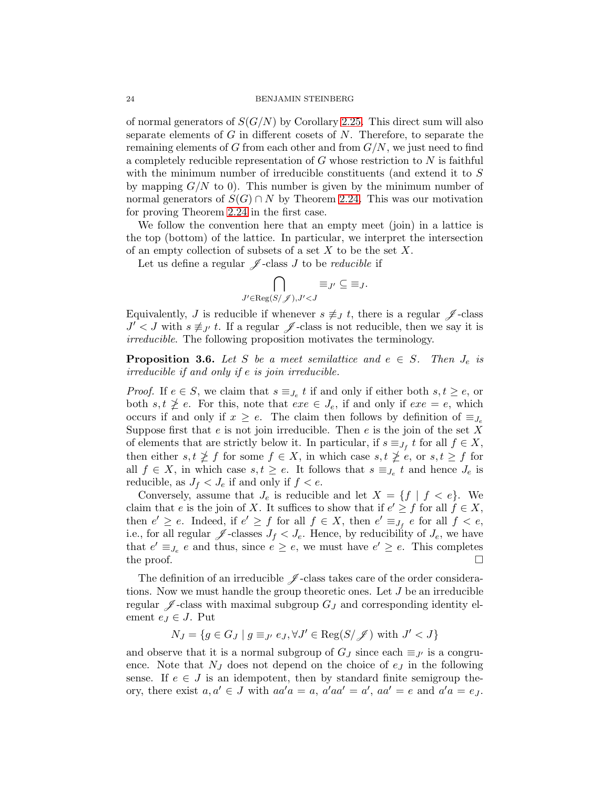of normal generators of  $S(G/N)$  by Corollary [2.25.](#page-18-1) This direct sum will also separate elements of  $G$  in different cosets of  $N$ . Therefore, to separate the remaining elements of G from each other and from  $G/N$ , we just need to find a completely reducible representation of  $G$  whose restriction to  $N$  is faithful with the minimum number of irreducible constituents (and extend it to S by mapping  $G/N$  to 0). This number is given by the minimum number of normal generators of  $S(G) \cap N$  by Theorem [2.24.](#page-17-0) This was our motivation for proving Theorem [2.24](#page-17-0) in the first case.

We follow the convention here that an empty meet (join) in a lattice is the top (bottom) of the lattice. In particular, we interpret the intersection of an empty collection of subsets of a set  $X$  to be the set  $X$ .

Let us define a regular  $\mathscr J$ -class J to be reducible if

$$
\bigcap_{J' \in \text{Reg}(S/\mathscr{J}), J' < J} \equiv_{J'} \subseteq \equiv_J.
$$

Equivalently, J is reducible if whenever  $s \not\equiv_J t$ , there is a regular  $\mathscr J$ -class  $J' < J$  with  $s \not\equiv_{J'} t$ . If a regular  $\mathscr J$ -class is not reducible, then we say it is irreducible. The following proposition motivates the terminology.

<span id="page-23-0"></span>**Proposition 3.6.** Let S be a meet semilattice and  $e \in S$ . Then  $J_e$  is irreducible if and only if e is join irreducible.

*Proof.* If  $e \in S$ , we claim that  $s \equiv_{J_e} t$  if and only if either both  $s, t \geq e$ , or both  $s, t \ngeq e$ . For this, note that  $exe \in J_e$ , if and only if  $exe = e$ , which occurs if and only if  $x \geq e$ . The claim then follows by definition of  $\equiv_{J_e}$ Suppose first that e is not join irreducible. Then e is the join of the set X of elements that are strictly below it. In particular, if  $s \equiv_{J_f} t$  for all  $f \in X$ , then either  $s, t \not\geq f$  for some  $f \in X$ , in which case  $s, t \not\geq e$ , or  $s, t \geq f$  for all  $f \in X$ , in which case  $s, t \geq e$ . It follows that  $s \equiv_{J_e} t$  and hence  $J_e$  is reducible, as  $J_f < J_e$  if and only if  $f < e$ .

Conversely, assume that  $J_e$  is reducible and let  $X = \{f \mid f < e\}$ . We claim that e is the join of X. It suffices to show that if  $e' \geq f$  for all  $f \in X$ , then  $e' \ge e$ . Indeed, if  $e' \ge f$  for all  $f \in X$ , then  $e' \equiv_{J_f} e$  for all  $f < e$ , i.e., for all regular  $\mathscr{J}$ -classes  $J_f < J_e$ . Hence, by reducibility of  $J_e$ , we have that  $e' \equiv_{J_e} e$  and thus, since  $e \geq e$ , we must have  $e' \geq e$ . This completes the proof.  $\Box$ 

The definition of an irreducible  $\mathscr J$ -class takes care of the order considerations. Now we must handle the group theoretic ones. Let J be an irreducible regular  $\mathscr J$ -class with maximal subgroup  $G_J$  and corresponding identity element  $e_J \in J$ . Put

$$
N_J = \{ g \in G_J \mid g \equiv_{J'} e_J, \forall J' \in \text{Reg}(S/\mathscr{J}) \text{ with } J' < J \}
$$

and observe that it is a normal subgroup of  $G_J$  since each  $\equiv_{J'}$  is a congruence. Note that  $N_J$  does not depend on the choice of  $e_J$  in the following sense. If  $e \in J$  is an idempotent, then by standard finite semigroup theory, there exist  $a, a' \in J$  with  $aa' a = a$ ,  $a' aa' = a'$ ,  $aa' = e$  and  $a' a = e_J$ .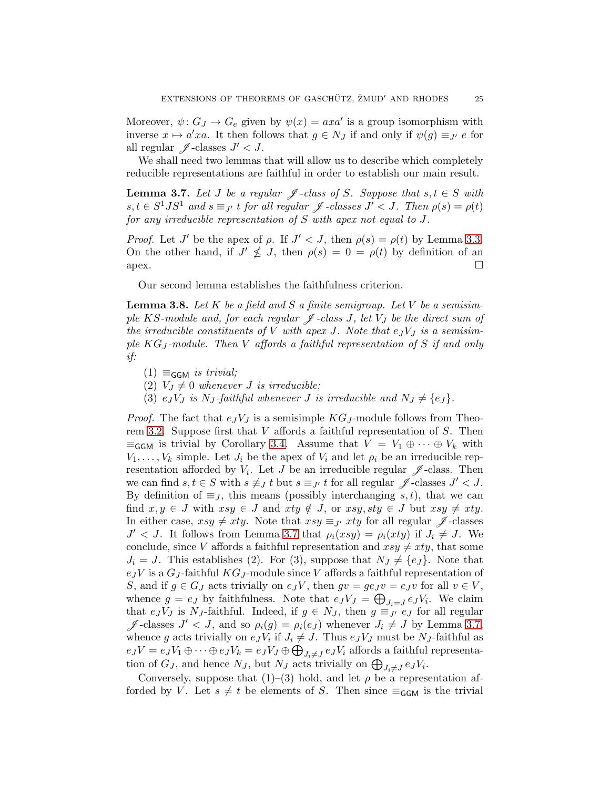Moreover,  $\psi: G_J \to G_e$  given by  $\psi(x) = axa'$  is a group isomorphism with inverse  $x \mapsto a'xa$ . It then follows that  $g \in N_J$  if and only if  $\psi(g) \equiv_{J'} e$  for all regular  $\mathscr{J}$ -classes  $J' < J$ .

We shall need two lemmas that will allow us to describe which completely reducible representations are faithful in order to establish our main result.

<span id="page-24-0"></span>**Lemma 3.7.** Let J be a regular  $\mathscr J$ -class of S. Suppose that  $s, t \in S$  with  $s, t \in S^1 J S^1$  and  $s \equiv_{J'} t$  for all regular  $\mathscr J$ -classes  $J' < J$ . Then  $\rho(s) = \rho(t)$ for any irreducible representation of S with apex not equal to J.

*Proof.* Let J' be the apex of  $\rho$ . If  $J' < J$ , then  $\rho(s) = \rho(t)$  by Lemma [3.3.](#page-20-1) On the other hand, if  $J' \nleq J$ , then  $\rho(s) = 0 = \rho(t)$  by definition of an  $apex.$ 

Our second lemma establishes the faithfulness criterion.

<span id="page-24-1"></span>**Lemma 3.8.** Let K be a field and S a finite semigroup. Let V be a semisimple KS-module and, for each regular  $\mathscr J$ -class J, let  $V_J$  be the direct sum of the irreducible constituents of V with apex J. Note that  $e_JV_J$  is a semisimple  $KG_J$ -module. Then V affords a faithful representation of S if and only if:

- $(1) \equiv_{\mathsf{GGM}}$  is trivial;
- (2)  $V_J \neq 0$  whenever J is irreducible;
- (3)  $e_JV_J$  is N<sub>J</sub>-faithful whenever J is irreducible and  $N_J \neq \{e_J\}$ .

*Proof.* The fact that  $e_JV_J$  is a semisimple  $KG_J$ -module follows from Theo-rem [3.2.](#page-20-0) Suppose first that  $V$  affords a faithful representation of  $S$ . Then  $\equiv_{\mathsf{GGM}}$  is trivial by Corollary [3.4.](#page-21-0) Assume that  $V = V_1 \oplus \cdots \oplus V_k$  with  $V_1, \ldots, V_k$  simple. Let  $J_i$  be the apex of  $V_i$  and let  $\rho_i$  be an irreducible representation afforded by  $V_i$ . Let J be an irreducible regular  $\mathscr J$ -class. Then we can find  $s, t \in S$  with  $s \not\equiv_J t$  but  $s \equiv_{J'} t$  for all regular  $\mathscr{J}$ -classes  $J' < J$ . By definition of  $\equiv_J$ , this means (possibly interchanging s, t), that we can find  $x, y \in J$  with  $xsy \in J$  and  $xty \notin J$ , or  $xsy, sty \in J$  but  $xsy \neq xty$ . In either case,  $xsy \neq xty$ . Note that  $xsy \equiv y$  xty for all regular  $\mathscr J$ -classes  $J' < J$ . It follows from Lemma [3.7](#page-24-0) that  $\rho_i(xsy) = \rho_i(xty)$  if  $J_i \neq J$ . We conclude, since V affords a faithful representation and  $xsy \neq xty$ , that some  $J_i = J$ . This establishes (2). For (3), suppose that  $N_J \neq \{e_J\}$ . Note that  $e_JV$  is a  $G_J$ -faithful  $KG_J$ -module since V affords a faithful representation of S, and if  $g \in G_J$  acts trivially on  $e_J V$ , then  $gv = ge_J v = e_J v$  for all  $v \in V$ , whence  $g = e_J$  by faithfulness. Note that  $e_J V_J = \bigoplus_{J_i=J} e_J V_i$ . We claim that  $e_JV_J$  is N<sub>J</sub>-faithful. Indeed, if  $g \in N_J$ , then  $g \equiv_{J'} e_J$  for all regular  $\mathscr{J}$ -classes  $J' < J$ , and so  $\rho_i(g) = \rho_i(e_J)$  whenever  $J_i \neq J$  by Lemma [3.7,](#page-24-0) whence g acts trivially on  $e_J V_i$  if  $J_i \neq J$ . Thus  $e_J V_J$  must be  $N_J$ -faithful as  $e_JV = e_JV_1 \oplus \cdots \oplus e_JV_k = e_JV_J \oplus \bigoplus_{J_i \neq J} e_JV_i$  affords a faithful representation of  $G_J$ , and hence  $N_J$ , but  $N_J$  acts trivially on  $\bigoplus_{J_i\neq J}e_JV_i$ .

Conversely, suppose that  $(1)$ – $(3)$  hold, and let  $\rho$  be a representation afforded by V. Let  $s \neq t$  be elements of S. Then since  $\equiv_{\mathsf{GGM}}$  is the trivial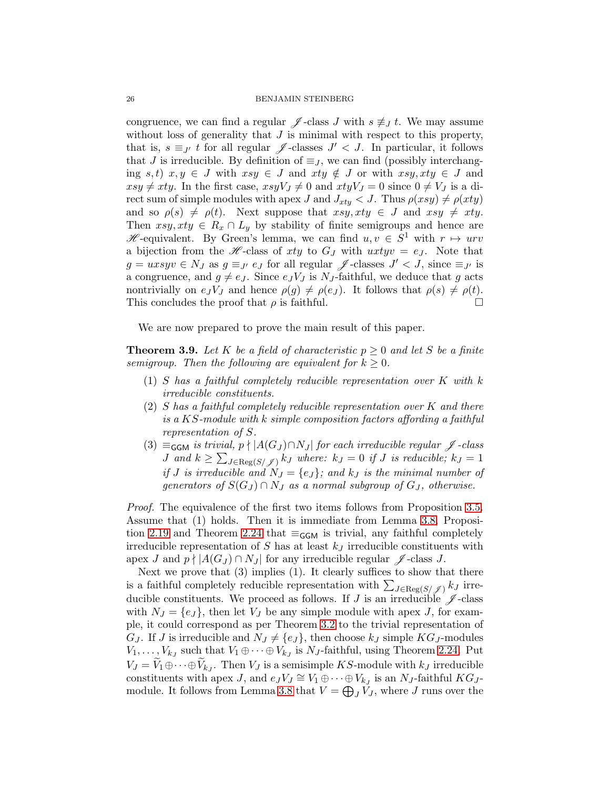congruence, we can find a regular  $\mathscr{J}$ -class J with  $s \not\equiv J t$ . We may assume without loss of generality that  $J$  is minimal with respect to this property, that is,  $s \equiv_{J'} t$  for all regular  $\mathscr{J}$ -classes  $J' < J$ . In particular, it follows that J is irreducible. By definition of  $\equiv_J$ , we can find (possibly interchanging s, t)  $x, y \in J$  with  $xsy \in J$  and  $xty \notin J$  or with  $xsy, xty \in J$  and  $xsy \neq xty$ . In the first case,  $xsyV_J \neq 0$  and  $xtyV_J = 0$  since  $0 \neq V_J$  is a direct sum of simple modules with apex J and  $J_{xty} < J$ . Thus  $\rho(xsy) \neq \rho(xty)$ and so  $\rho(s) \neq \rho(t)$ . Next suppose that  $xsy, xty \in J$  and  $xsy \neq xty$ . Then  $xsy, xty \in R_x \cap L_y$  by stability of finite semigroups and hence are  $\mathscr{H}$ -equivalent. By Green's lemma, we can find  $u, v \in S^1$  with  $r \mapsto urv$ a bijection from the H-class of xty to  $G_J$  with  $uxtyv = e_J$ . Note that  $g = uxsyv \in N_J$  as  $g \equiv_{J'} e_J$  for all regular  $\mathscr J$ -classes  $J' < J$ , since  $\equiv_{J'}$  is a congruence, and  $g \neq e_J$ . Since  $e_J V_J$  is N<sub>J</sub>-faithful, we deduce that g acts nontrivially on  $e_J V_J$  and hence  $\rho(g) \neq \rho(e_J)$ . It follows that  $\rho(s) \neq \rho(t)$ . This concludes the proof that  $\rho$  is faithful.

We are now prepared to prove the main result of this paper.

<span id="page-25-0"></span>**Theorem 3.9.** Let K be a field of characteristic  $p \geq 0$  and let S be a finite semigroup. Then the following are equivalent for  $k \geq 0$ .

- (1) S has a faithful completely reducible representation over K with k irreducible constituents.
- (2) S has a faithful completely reducible representation over K and there is a KS-module with k simple composition factors affording a faithful representation of S.
- (3)  $\equiv_{\mathsf{GGM}}$  is trivial, p  $\mid$  |A(G<sub>J</sub>) $\cap$ N<sub>J</sub>| for each irreducible regular  $\mathscr J$ -class J and  $k \geq \sum_{J \in \text{Reg}(S/\mathscr{J})} k_J$  where:  $k_J = 0$  if J is reducible;  $k_J = 1$ if J is irreducible and  $N_J = \{e_j\}$ ; and  $k_J$  is the minimal number of generators of  $S(G_J) \cap N_J$  as a normal subgroup of  $G_J$ , otherwise.

Proof. The equivalence of the first two items follows from Proposition [3.5.](#page-21-1) Assume that (1) holds. Then it is immediate from Lemma [3.8,](#page-24-1) Proposi-tion [2.19](#page-11-1) and Theorem [2.24](#page-17-0) that  $\equiv_{\mathsf{GGM}}$  is trivial, any faithful completely irreducible representation of  $S$  has at least  $k_J$  irreducible constituents with apex J and  $p \nmid |A(G_J) \cap N_J|$  for any irreducible regular  $\mathscr J$ -class J.

Next we prove that (3) implies (1). It clearly suffices to show that there is a faithful completely reducible representation with  $\sum_{J \in \text{Reg}(S/\mathscr{J})} k_J$  irreducible constituents. We proceed as follows. If J is an irreducible  $\mathscr J$ -class with  $N_J = \{e_j\}$ , then let  $V_J$  be any simple module with apex J, for example, it could correspond as per Theorem [3.2](#page-20-0) to the trivial representation of  $G_J$ . If J is irreducible and  $N_J \neq \{e_J\}$ , then choose  $k_J$  simple  $KG_J$ -modules  $V_1, \ldots, V_{k_J}$  such that  $V_1 \oplus \cdots \oplus V_{k_J}$  is  $N_J$ -faithful, using Theorem [2.24.](#page-17-0) Put  $V_J = V_1 \oplus \cdots \oplus V_{k_J}$ . Then  $V_J$  is a semisimple KS-module with  $k_J$  irreducible constituents with apex J, and  $e_J V_J \cong V_1 \oplus \cdots \oplus V_{k_J}$  is an  $N_J$ -faithful  $KG_J$ -module. It follows from Lemma [3.8](#page-24-1) that  $V = \bigoplus_{J} V_J$ , where J runs over the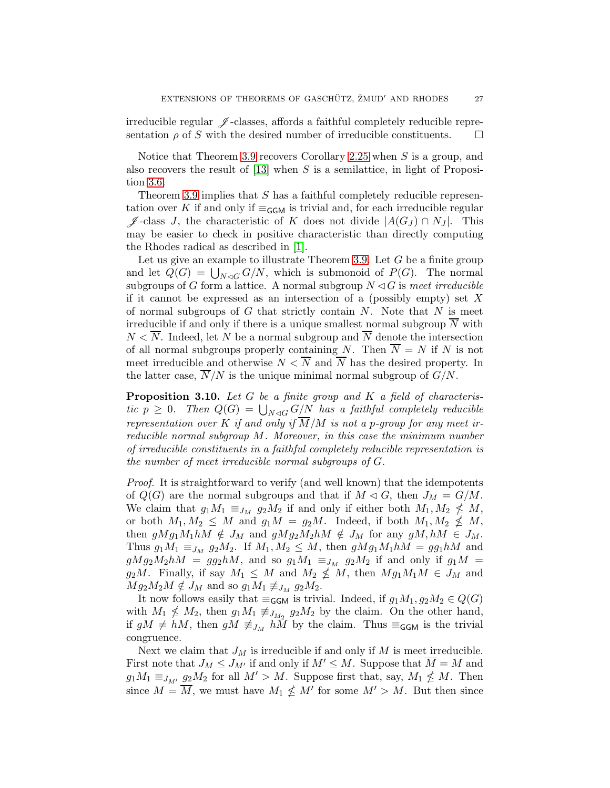irreducible regular  $\mathscr J$ -classes, affords a faithful completely reducible representation  $\rho$  of S with the desired number of irreducible constituents.  $\Box$ 

Notice that Theorem [3.9](#page-25-0) recovers Corollary [2.25](#page-18-1) when  $S$  is a group, and also recovers the result of  $[13]$  when S is a semilattice, in light of Proposition [3.6.](#page-23-0)

Theorem [3.9](#page-25-0) implies that S has a faithful completely reducible representation over K if and only if  $\equiv_{\mathsf{GGM}}$  is trivial and, for each irreducible regular  $\mathscr{J}$ -class J, the characteristic of K does not divide  $|A(G_J) \cap N_J|$ . This may be easier to check in positive characteristic than directly computing the Rhodes radical as described in [\[1\]](#page-28-1).

Let us give an example to illustrate Theorem [3.9.](#page-25-0) Let  $G$  be a finite group and let  $\widetilde{Q}(G) = \bigcup_{N \triangleleft G} G/N$ , which is submonoid of  $P(G)$ . The normal subgroups of G form a lattice. A normal subgroup  $N \triangleleft G$  is meet irreducible if it cannot be expressed as an intersection of a (possibly empty) set  $X$ of normal subgroups of  $G$  that strictly contain  $N$ . Note that  $N$  is meet irreducible if and only if there is a unique smallest normal subgroup  $\overline{N}$  with  $N < \overline{N}$ . Indeed, let N be a normal subgroup and  $\overline{N}$  denote the intersection of all normal subgroups properly containing N. Then  $\overline{N} = N$  if N is not meet irreducible and otherwise  $N < \overline{N}$  and  $\overline{N}$  has the desired property. In the latter case,  $N/N$  is the unique minimal normal subgroup of  $G/N$ .

**Proposition 3.10.** Let  $G$  be a finite group and  $K$  a field of characteristic  $p \geq 0$ . Then  $Q(G) = \bigcup_{N \lhd G} G/N$  has a faithful completely reducible representation over K if and only if  $\overline{M}/M$  is not a p-group for any meet irreducible normal subgroup M. Moreover, in this case the minimum number of irreducible constituents in a faithful completely reducible representation is the number of meet irreducible normal subgroups of G.

Proof. It is straightforward to verify (and well known) that the idempotents of  $Q(G)$  are the normal subgroups and that if  $M \lhd G$ , then  $J_M = G/M$ . We claim that  $g_1M_1 \equiv_{J_M} g_2M_2$  if and only if either both  $M_1, M_2 \nleq M$ , or both  $M_1, M_2 \leq M$  and  $g_1 M = g_2 M$ . Indeed, if both  $M_1, M_2 \nleq M$ , then  $gMg_1M_1hM \notin J_M$  and  $gMg_2M_2hM \notin J_M$  for any  $gM, hM \in J_M$ . Thus  $g_1M_1 \equiv_{J_M} g_2M_2$ . If  $M_1, M_2 \leq M$ , then  $gMg_1M_1hM = gg_1hM$  and  $gMg_2M_2hM = gg_2hM$ , and so  $g_1M_1 \equiv_{J_M} g_2M_2$  if and only if  $g_1M = g_2M_2h$  $g_2M$ . Finally, if say  $M_1 \leq M$  and  $M_2 \nleq M$ , then  $Mg_1M_1M \in J_M$  and  $Mg_2M_2M \notin J_M$  and so  $g_1M_1 \not\equiv_{J_M} g_2M_2$ .

It now follows easily that  $\equiv_{\mathsf{GGM}}$  is trivial. Indeed, if  $g_1M_1, g_2M_2 \in Q(G)$ with  $M_1 \nleq M_2$ , then  $g_1M_1 \not\equiv_{J_{M_2}} g_2M_2$  by the claim. On the other hand, if  $gM \neq hM$ , then  $gM \not\equiv_{J_M} h\overline{M}$  by the claim. Thus  $\equiv_{\mathsf{GGM}}$  is the trivial congruence.

Next we claim that  $J_M$  is irreducible if and only if M is meet irreducible. First note that  $J_M \leq J_{M'}$  if and only if  $M' \leq M$ . Suppose that  $\overline{M} = M$  and  $g_1M_1 \equiv_{J_{M'}} g_2M_2$  for all  $M' > M$ . Suppose first that, say,  $M_1 \nleq M$ . Then since  $M = \overline{M}$ , we must have  $M_1 \nleq M'$  for some  $M' > M$ . But then since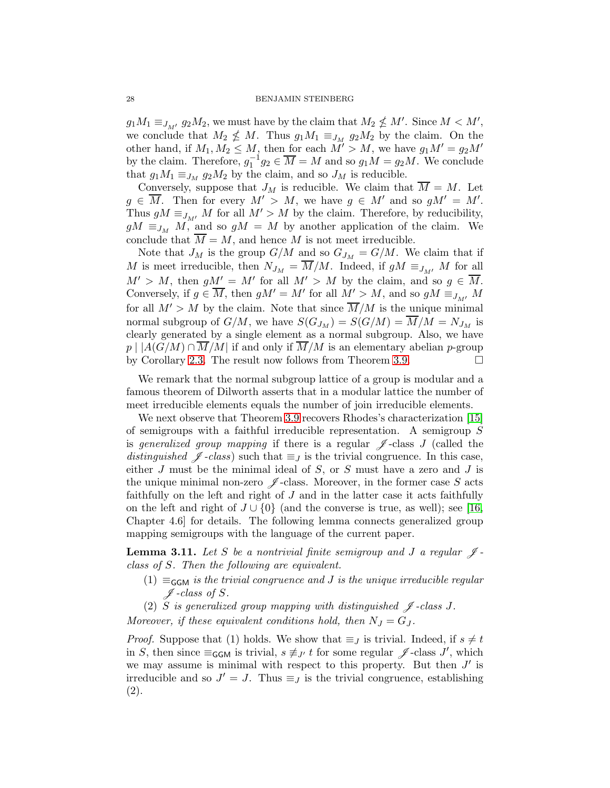$g_1M_1 \equiv_{J_{M'}} g_2M_2$ , we must have by the claim that  $M_2 \nleq M'$ . Since  $M < M'$ , we conclude that  $M_2 \nleq M$ . Thus  $g_1 M_1 \equiv_{J_M} g_2 M_2$  by the claim. On the other hand, if  $M_1, M_2 \leq M$ , then for each  $M' > M$ , we have  $g_1 M' = g_2 M'$ by the claim. Therefore,  $g_1^{-1}g_2 \in \overline{M} = M$  and so  $g_1M = g_2M$ . We conclude that  $g_1M_1 \equiv_{J_M} g_2M_2$  by the claim, and so  $J_M$  is reducible.

Conversely, suppose that  $J_M$  is reducible. We claim that  $\overline{M} = M$ . Let  $g \in \overline{M}$ . Then for every  $M' > M$ , we have  $g \in M'$  and so  $gM' = M'$ . Thus  $gM \equiv_{J_{M'}} M$  for all  $M' > M$  by the claim. Therefore, by reducibility,  $gM \equiv_{J_M} M$ , and so  $gM = M$  by another application of the claim. We conclude that  $\overline{M} = M$ , and hence M is not meet irreducible.

Note that  $J_M$  is the group  $G/M$  and so  $G_{J_M} = G/M$ . We claim that if M is meet irreducible, then  $N_{J_M} = \overline{M}/M$ . Indeed, if  $gM \equiv_{J_{M'}} M$  for all  $M' > M$ , then  $gM' = M'$  for all  $M' > M$  by the claim, and so  $g \in \overline{M}$ . Conversely, if  $g \in \overline{M}$ , then  $gM' = M'$  for all  $M' > M$ , and so  $gM \equiv_{J_{M'}} M$ for all  $M' > M$  by the claim. Note that since  $\overline{M}/M$  is the unique minimal normal subgroup of  $G/M$ , we have  $S(G_{J_M}) = S(G/M) = \overline{M}/M = N_{J_M}$  is clearly generated by a single element as a normal subgroup. Also, we have  $p \mid |A(G/M) \cap \overline{M}/M|$  if and only if  $\overline{M}/M$  is an elementary abelian p-group by Corollary [2.3.](#page-4-0) The result now follows from Theorem [3.9.](#page-25-0)

We remark that the normal subgroup lattice of a group is modular and a famous theorem of Dilworth asserts that in a modular lattice the number of meet irreducible elements equals the number of join irreducible elements.

We next observe that Theorem [3.9](#page-25-0) recovers Rhodes's characterization [\[15\]](#page-29-10) of semigroups with a faithful irreducible representation. A semigroup S is generalized group mapping if there is a regular  $\mathscr J$ -class J (called the distinguished  $\mathscr{J}$ -class) such that  $\equiv_J$  is the trivial congruence. In this case, either  $J$  must be the minimal ideal of  $S$ , or  $S$  must have a zero and  $J$  is the unique minimal non-zero  $\mathscr J$ -class. Moreover, in the former case S acts faithfully on the left and right of  $J$  and in the latter case it acts faithfully on the left and right of  $J \cup \{0\}$  (and the converse is true, as well); see [\[16,](#page-29-17) Chapter 4.6] for details. The following lemma connects generalized group mapping semigroups with the language of the current paper.

<span id="page-27-0"></span>**Lemma 3.11.** Let S be a nontrivial finite semigroup and J a regular  $\mathscr{J}$ class of S. Then the following are equivalent.

(1)  $\equiv_{\mathsf{GGM}}$  is the trivial congruence and J is the unique irreducible regular  $\n *f* -class of *S* .$ 

(2) S is generalized group mapping with distinguished  $\mathscr J$ -class J. Moreover, if these equivalent conditions hold, then  $N_J = G_J$ .

*Proof.* Suppose that (1) holds. We show that  $\equiv_J$  is trivial. Indeed, if  $s \neq t$ in S, then since  $\equiv_{\mathsf{GGM}}$  is trivial,  $s \not\equiv_{J'} t$  for some regular  $\mathscr{J}$ -class J', which we may assume is minimal with respect to this property. But then  $J'$  is irreducible and so  $J' = J$ . Thus  $\equiv_J$  is the trivial congruence, establishing (2).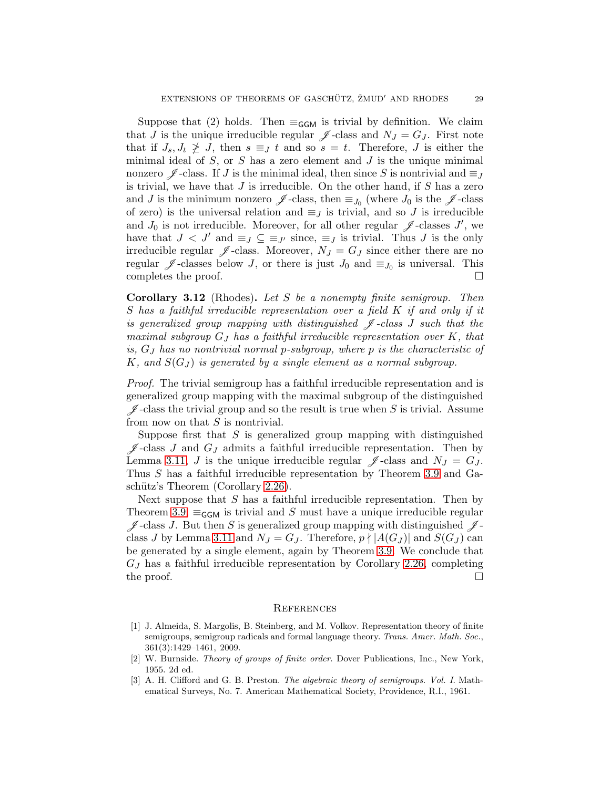Suppose that (2) holds. Then  $\equiv_{\mathsf{GGM}}$  is trivial by definition. We claim that J is the unique irreducible regular  $\mathscr{J}$ -class and  $N_J = G_J$ . First note that if  $J_s, J_t \not\geq J$ , then  $s \equiv_J t$  and so  $s = t$ . Therefore, J is either the minimal ideal of  $S$ , or  $S$  has a zero element and  $J$  is the unique minimal nonzero  $\mathscr J$ -class. If J is the minimal ideal, then since S is nontrivial and  $\equiv_J$ is trivial, we have that  $J$  is irreducible. On the other hand, if  $S$  has a zero and J is the minimum nonzero  $\mathscr{J}$ -class, then  $\equiv_{J_0}$  (where  $J_0$  is the  $\mathscr{J}$ -class of zero) is the universal relation and  $\equiv_J$  is trivial, and so J is irreducible and  $J_0$  is not irreducible. Moreover, for all other regular  $\mathscr J$ -classes J', we have that  $J < J'$  and  $\equiv_J \subseteq \equiv_{J'}$  since,  $\equiv_J$  is trivial. Thus J is the only irreducible regular  $\mathscr{J}$ -class. Moreover,  $N_J = G_J$  since either there are no regular  $\mathscr J$ -classes below J, or there is just  $J_0$  and  $\equiv_{J_0}$  is universal. This completes the proof.

Corollary 3.12 (Rhodes). Let S be a nonempty finite semigroup. Then S has a faithful irreducible representation over a field K if and only if it is generalized group mapping with distinguished  $\mathscr J$ -class  $J$  such that the maximal subgroup  $G_J$  has a faithful irreducible representation over  $K$ , that is, G<sup>J</sup> has no nontrivial normal p-subgroup, where p is the characteristic of K, and  $S(G_J)$  is generated by a single element as a normal subgroup.

Proof. The trivial semigroup has a faithful irreducible representation and is generalized group mapping with the maximal subgroup of the distinguished  $\mathscr J$ -class the trivial group and so the result is true when S is trivial. Assume from now on that  $S$  is nontrivial.

Suppose first that  $S$  is generalized group mapping with distinguished  $\mathscr{J}$ -class J and  $G_J$  admits a faithful irreducible representation. Then by Lemma [3.11,](#page-27-0) J is the unique irreducible regular  $\mathscr{J}$ -class and  $N_J = G_J$ . Thus S has a faithful irreducible representation by Theorem [3.9](#page-25-0) and Ga-schütz's Theorem (Corollary [2.26\)](#page-18-2).

Next suppose that  $S$  has a faithful irreducible representation. Then by Theorem [3.9,](#page-25-0)  $\equiv_{\mathsf{GGM}}$  is trivial and S must have a unique irreducible regular  $\mathscr{J}$ -class J. But then S is generalized group mapping with distinguished  $\mathscr{J}$ -class J by Lemma [3.11](#page-27-0) and  $N_J = G_J$ . Therefore,  $p \nmid |A(G_J)|$  and  $S(G_J)$  can be generated by a single element, again by Theorem [3.9.](#page-25-0) We conclude that  $G_J$  has a faithful irreducible representation by Corollary [2.26,](#page-18-2) completing the proof.  $\Box$ 

#### **REFERENCES**

- <span id="page-28-1"></span>[1] J. Almeida, S. Margolis, B. Steinberg, and M. Volkov. Representation theory of finite semigroups, semigroup radicals and formal language theory. Trans. Amer. Math. Soc., 361(3):1429–1461, 2009.
- <span id="page-28-2"></span><span id="page-28-0"></span>[2] W. Burnside. Theory of groups of finite order. Dover Publications, Inc., New York, 1955. 2d ed.
- [3] A. H. Clifford and G. B. Preston. The algebraic theory of semigroups. Vol. I. Mathematical Surveys, No. 7. American Mathematical Society, Providence, R.I., 1961.